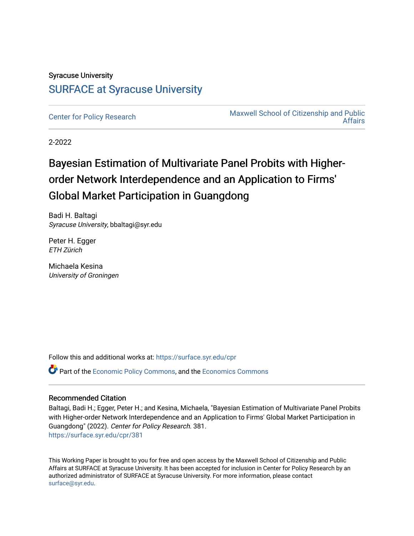## Syracuse University [SURFACE at Syracuse University](https://surface.syr.edu/)

[Center for Policy Research](https://surface.syr.edu/cpr) Maxwell School of Citizenship and Public [Affairs](https://surface.syr.edu/maxwell) 

2-2022

# Bayesian Estimation of Multivariate Panel Probits with Higherorder Network Interdependence and an Application to Firms' Global Market Participation in Guangdong

Badi H. Baltagi Syracuse University, bbaltagi@syr.edu

Peter H. Egger ETH Zürich

Michaela Kesina University of Groningen

Follow this and additional works at: [https://surface.syr.edu/cpr](https://surface.syr.edu/cpr?utm_source=surface.syr.edu%2Fcpr%2F381&utm_medium=PDF&utm_campaign=PDFCoverPages) 

**C** Part of the [Economic Policy Commons](http://network.bepress.com/hgg/discipline/1025?utm_source=surface.syr.edu%2Fcpr%2F381&utm_medium=PDF&utm_campaign=PDFCoverPages), and the [Economics Commons](http://network.bepress.com/hgg/discipline/340?utm_source=surface.syr.edu%2Fcpr%2F381&utm_medium=PDF&utm_campaign=PDFCoverPages)

## Recommended Citation

Baltagi, Badi H.; Egger, Peter H.; and Kesina, Michaela, "Bayesian Estimation of Multivariate Panel Probits with Higher-order Network Interdependence and an Application to Firms' Global Market Participation in Guangdong" (2022). Center for Policy Research. 381. [https://surface.syr.edu/cpr/381](https://surface.syr.edu/cpr/381?utm_source=surface.syr.edu%2Fcpr%2F381&utm_medium=PDF&utm_campaign=PDFCoverPages) 

This Working Paper is brought to you for free and open access by the Maxwell School of Citizenship and Public Affairs at SURFACE at Syracuse University. It has been accepted for inclusion in Center for Policy Research by an authorized administrator of SURFACE at Syracuse University. For more information, please contact [surface@syr.edu.](mailto:surface@syr.edu)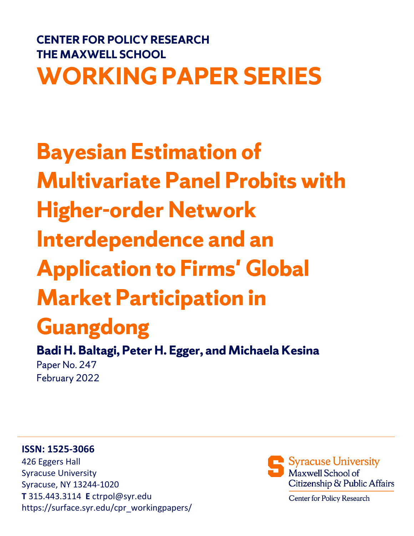# **CENTER FOR POLICY RESEARCH THE MAXWELL SCHOOL WORKING PAPER SERIES**

# **Bayesian Estimation of Multivariate Panel Probits with Higher-order Network Interdependence and an Application to Firms' Global Market Participation in**

# **Guangdong**

**Badi H. Baltagi, Peter H. Egger, and Michaela Kesina** Paper No. 247 February 2022

## **ISSN: 1525-3066**

426 Eggers Hall Syracuse University Syracuse, NY 13244-1020 **T** 315.443.3114 **E** ctrpol@syr.edu https://surface.syr.edu/cpr\_workingpapers/



Center for Policy Research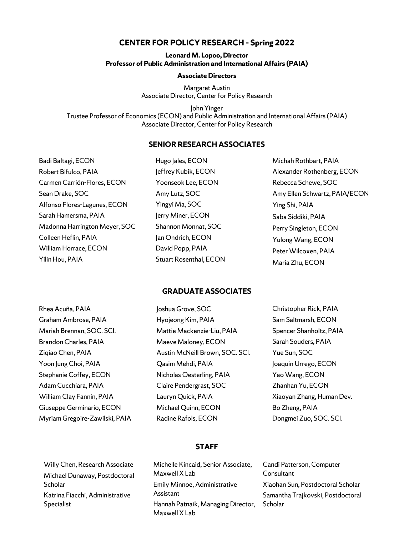## **CENTER FOR POLICY RESEARCH – Spring 2022**

#### **Leonard M. Lopoo, Director Professor of Public Administration and International Affairs (PAIA)**

#### **Associate Directors**

Margaret Austin Associate Director, Center for Policy Research

John Yinger Trustee Professor of Economics (ECON) and Public Administration and International Affairs (PAIA) Associate Director, Center for Policy Research

### **SENIOR RESEARCH ASSOCIATES**

Badi Baltagi, ECON Robert Bifulco, PAIA Carmen Carrión-Flores, ECON Sean Drake, SOC Alfonso Flores-Lagunes, ECON Sarah Hamersma, PAIA Madonna Harrington Meyer, SOC Colleen Heflin, PAIA William Horrace, ECON Yilin Hou, PAIA

Hugo Jales, ECON Jeffrey Kubik, ECON Yoonseok Lee, ECON Amy Lutz, SOC Yingyi Ma, SOC Jerry Miner, ECON Shannon Monnat, SOC Jan Ondrich, ECON David Popp, PAIA Stuart Rosenthal, ECON Michah Rothbart, PAIA Alexander Rothenberg, ECON Rebecca Schewe, SOC Amy Ellen Schwartz, PAIA/ECON Ying Shi, PAIA Saba Siddiki, PAIA Perry Singleton, ECON Yulong Wang, ECON Peter Wilcoxen, PAIA Maria Zhu, ECON

### **GRADUATE ASSOCIATES**

| Rhea Acuña, PAIA               | Joshua Grove, SOC               | Christopher Rick, PAIA    |
|--------------------------------|---------------------------------|---------------------------|
| Graham Ambrose, PAIA           | Hyojeong Kim, PAIA              | Sam Saltmarsh, ECON       |
| Mariah Brennan, SOC. SCI.      | Mattie Mackenzie-Liu, PAIA      | Spencer Shanholtz, PAIA   |
| Brandon Charles, PAIA          | Maeve Maloney, ECON             | Sarah Souders, PAIA       |
| Zigiao Chen, PAIA              | Austin McNeill Brown, SOC. SCI. | Yue Sun, SOC              |
| Yoon Jung Choi, PAIA           | Qasim Mehdi, PAIA               | Joaquin Urrego, ECON      |
| Stephanie Coffey, ECON         | Nicholas Oesterling, PAIA       | Yao Wang, ECON            |
| Adam Cucchiara, PAIA           | Claire Pendergrast, SOC         | Zhanhan Yu, ECON          |
| William Clay Fannin, PAIA      | Lauryn Quick, PAIA              | Xiaoyan Zhang, Human Dev. |
| Giuseppe Germinario, ECON      | Michael Quinn, ECON             | Bo Zheng, PAIA            |
| Myriam Gregoire-Zawilski, PAIA | Radine Rafols, ECON             | Dongmei Zuo, SOC. SCI.    |

#### **STAFF**

| Willy Chen, Research Associate  |
|---------------------------------|
| Michael Dunaway, Postdoctoral   |
| Scholar                         |
| Katrina Fiacchi, Administrative |
| Specialist                      |

Michelle Kincaid, Senior Associate, Maxwell X Lab Emily Minnoe, Administrative Assistant Hannah Patnaik, Managing Director, Maxwell X Lab

Candi Patterson, Computer **Consultant** Xiaohan Sun, Postdoctoral Scholar Samantha Trajkovski, Postdoctoral **Scholar**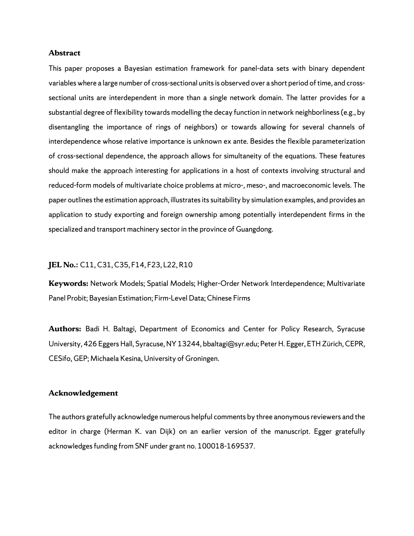#### **Abstract**

This paper proposes a Bayesian estimation framework for panel-data sets with binary dependent variables where a large number of cross-sectional units is observed over a short period of time, and crosssectional units are interdependent in more than a single network domain. The latter provides for a substantial degree of flexibility towards modelling the decay function in network neighborliness (e.g., by disentangling the importance of rings of neighbors) or towards allowing for several channels of interdependence whose relative importance is unknown ex ante. Besides the flexible parameterization of cross-sectional dependence, the approach allows for simultaneity of the equations. These features should make the approach interesting for applications in a host of contexts involving structural and reduced-form models of multivariate choice problems at micro-, meso-, and macroeconomic levels. The paper outlines the estimation approach, illustrates its suitability by simulation examples, and provides an application to study exporting and foreign ownership among potentially interdependent firms in the specialized and transport machinery sector in the province of Guangdong.

#### **JEL No.:** C11, C31, C35, F14, F23, L22, R10

**Keywords:** Network Models; Spatial Models; Higher-Order Network Interdependence; Multivariate Panel Probit; Bayesian Estimation; Firm-Level Data; Chinese Firms

**Authors:** Badi H. Baltagi, Department of Economics and Center for Policy Research, Syracuse University, 426 Eggers Hall, Syracuse, NY 13244, bbaltagi@syr.edu; Peter H. Egger, ETH Zürich, CEPR, CESifo, GEP; Michaela Kesina, University of Groningen.

#### **Acknowledgement**

The authors gratefully acknowledge numerous helpful comments by three anonymous reviewers and the editor in charge (Herman K. van Dijk) on an earlier version of the manuscript. Egger gratefully acknowledges funding from SNF under grant no. 100018-169537.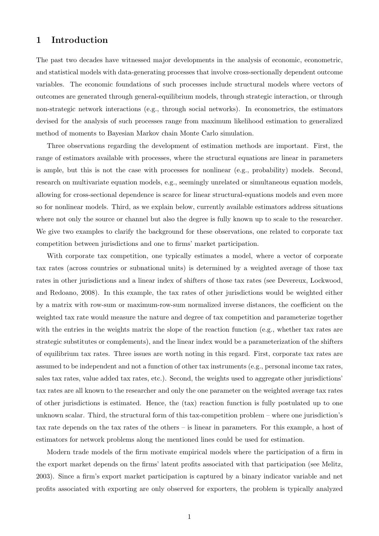## 1 Introduction

The past two decades have witnessed major developments in the analysis of economic, econometric, and statistical models with data-generating processes that involve cross-sectionally dependent outcome variables. The economic foundations of such processes include structural models where vectors of outcomes are generated through general-equilibrium models, through strategic interaction, or through non-strategic network interactions (e.g., through social networks). In econometrics, the estimators devised for the analysis of such processes range from maximum likelihood estimation to generalized method of moments to Bayesian Markov chain Monte Carlo simulation.

Three observations regarding the development of estimation methods are important. First, the range of estimators available with processes, where the structural equations are linear in parameters is ample, but this is not the case with processes for nonlinear (e.g., probability) models. Second, research on multivariate equation models, e.g., seemingly unrelated or simultaneous equation models, allowing for cross-sectional dependence is scarce for linear structural-equations models and even more so for nonlinear models. Third, as we explain below, currently available estimators address situations where not only the source or channel but also the degree is fully known up to scale to the researcher. We give two examples to clarify the background for these observations, one related to corporate tax competition between jurisdictions and one to firms' market participation.

With corporate tax competition, one typically estimates a model, where a vector of corporate tax rates (across countries or subnational units) is determined by a weighted average of those tax rates in other jurisdictions and a linear index of shifters of those tax rates (see Devereux, Lockwood, and Redoano, 2008). In this example, the tax rates of other jurisdictions would be weighted either by a matrix with row-sum or maximum-row-sum normalized inverse distances, the coefficient on the weighted tax rate would measure the nature and degree of tax competition and parameterize together with the entries in the weights matrix the slope of the reaction function (e.g., whether tax rates are strategic substitutes or complements), and the linear index would be a parameterization of the shifters of equilibrium tax rates. Three issues are worth noting in this regard. First, corporate tax rates are assumed to be independent and not a function of other tax instruments (e.g., personal income tax rates, sales tax rates, value added tax rates, etc.). Second, the weights used to aggregate other jurisdictions' tax rates are all known to the researcher and only the one parameter on the weighted average tax rates of other jurisdictions is estimated. Hence, the (tax) reaction function is fully postulated up to one unknown scalar. Third, the structural form of this tax-competition problem – where one jurisdiction's tax rate depends on the tax rates of the others – is linear in parameters. For this example, a host of estimators for network problems along the mentioned lines could be used for estimation.

Modern trade models of the firm motivate empirical models where the participation of a firm in the export market depends on the firms' latent profits associated with that participation (see Melitz, 2003). Since a firm's export market participation is captured by a binary indicator variable and net profits associated with exporting are only observed for exporters, the problem is typically analyzed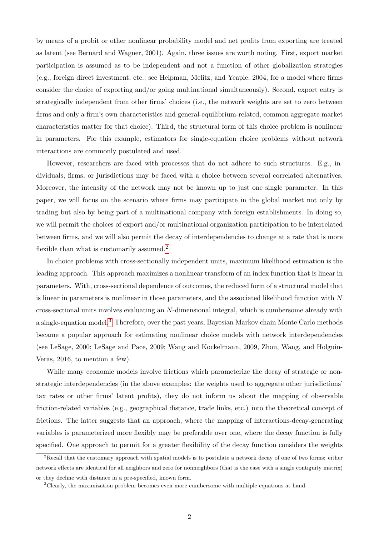by means of a probit or other nonlinear probability model and net profits from exporting are treated as latent (see Bernard and Wagner, 2001). Again, three issues are worth noting. First, export market participation is assumed as to be independent and not a function of other globalization strategies (e.g., foreign direct investment, etc.; see Helpman, Melitz, and Yeaple, 2004, for a model where firms consider the choice of exporting and/or going multinational simultaneously). Second, export entry is strategically independent from other firms' choices (i.e., the network weights are set to zero between firms and only a firm's own characteristics and general-equilibrium-related, common aggregate market characteristics matter for that choice). Third, the structural form of this choice problem is nonlinear in parameters. For this example, estimators for single-equation choice problems without network interactions are commonly postulated and used.

However, researchers are faced with processes that do not adhere to such structures. E.g., individuals, firms, or jurisdictions may be faced with a choice between several correlated alternatives. Moreover, the intensity of the network may not be known up to just one single parameter. In this paper, we will focus on the scenario where firms may participate in the global market not only by trading but also by being part of a multinational company with foreign establishments. In doing so, we will permit the choices of export and/or multinational organization participation to be interrelated between firms, and we will also permit the decay of interdependencies to change at a rate that is more flexible than what is customarily assumed.<sup>[2](#page-5-0)</sup>

In choice problems with cross-sectionally independent units, maximum likelihood estimation is the leading approach. This approach maximizes a nonlinear transform of an index function that is linear in parameters. With, cross-sectional dependence of outcomes, the reduced form of a structural model that is linear in parameters is nonlinear in those parameters, and the associated likelihood function with  $N$ cross-sectional units involves evaluating an N-dimensional integral, which is cumbersome already with a single-equation model.[3](#page-5-1) Therefore, over the past years, Bayesian Markov chain Monte Carlo methods became a popular approach for estimating nonlinear choice models with network interdependencies (see LeSage, 2000; LeSage and Pace, 2009; Wang and Kockelmann, 2009, Zhou, Wang, and Holguin-Veras, 2016, to mention a few).

While many economic models involve frictions which parameterize the decay of strategic or nonstrategic interdependencies (in the above examples: the weights used to aggregate other jurisdictions' tax rates or other firms' latent profits), they do not inform us about the mapping of observable friction-related variables (e.g., geographical distance, trade links, etc.) into the theoretical concept of frictions. The latter suggests that an approach, where the mapping of interactions-decay-generating variables is parameterized more flexibly may be preferable over one, where the decay function is fully specified. One approach to permit for a greater flexibility of the decay function considers the weights

<span id="page-5-0"></span><sup>&</sup>lt;sup>2</sup>Recall that the customary approach with spatial models is to postulate a network decay of one of two forms: either network effects are identical for all neighbors and zero for nonneighbors (that is the case with a single contiguity matrix) or they decline with distance in a pre-specified, known form.

<span id="page-5-1"></span><sup>3</sup>Clearly, the maximization problem becomes even more cumbersome with multiple equations at hand.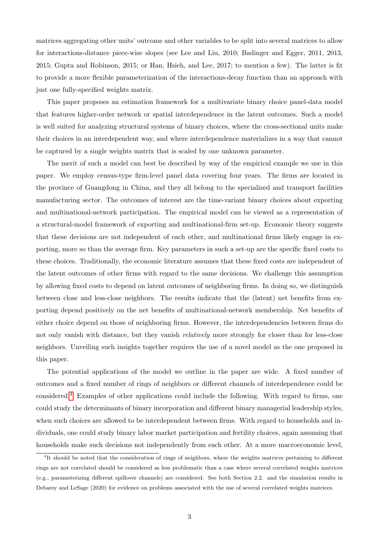matrices aggregating other units' outcome and other variables to be split into several matrices to allow for interactions-distance piece-wise slopes (see Lee and Liu, 2010; Badinger and Egger, 2011, 2013, 2015; Gupta and Robinson, 2015; or Han, Hsieh, and Lee, 2017; to mention a few). The latter is fit to provide a more flexible parameterization of the interactions-decay function than an approach with just one fully-specified weights matrix.

This paper proposes an estimation framework for a multivariate binary choice panel-data model that features higher-order network or spatial interdependence in the latent outcomes. Such a model is well suited for analyzing structural systems of binary choices, where the cross-sectional units make their choices in an interdependent way, and where interdependence materializes in a way that cannot be captured by a single weights matrix that is scaled by one unknown parameter.

The merit of such a model can best be described by way of the empirical example we use in this paper. We employ census-type firm-level panel data covering four years. The firms are located in the province of Guangdong in China, and they all belong to the specialized and transport facilities manufacturing sector. The outcomes of interest are the time-variant binary choices about exporting and multinational-network participation. The empirical model can be viewed as a representation of a structural-model framework of exporting and multinational-firm set-up. Economic theory suggests that these decisions are not independent of each other, and multinational firms likely engage in exporting, more so than the average firm. Key parameters in such a set-up are the specific fixed costs to these choices. Traditionally, the economic literature assumes that these fixed costs are independent of the latent outcomes of other firms with regard to the same decisions. We challenge this assumption by allowing fixed costs to depend on latent outcomes of neighboring firms. In doing so, we distinguish between close and less-close neighbors. The results indicate that the (latent) net benefits from exporting depend positively on the net benefits of multinational-network membership. Net benefits of either choice depend on those of neighboring firms. However, the interdependencies between firms do not only vanish with distance, but they vanish *relatively* more strongly for closer than for less-close neighbors. Unveiling such insights together requires the use of a novel model as the one proposed in this paper.

The potential applications of the model we outline in the paper are wide. A fixed number of outcomes and a fixed number of rings of neighbors or different channels of interdependence could be considered.[4](#page-6-0) Examples of other applications could include the following. With regard to firms, one could study the determinants of binary incorporation and different binary managerial leadership styles, when such choices are allowed to be interdependent between firms. With regard to households and individuals, one could study binary labor market participation and fertility choices, again assuming that households make such decisions not independently from each other. At a more macroeconomic level,

<span id="page-6-0"></span><sup>4</sup>It should be noted that the consideration of rings of neighbors, where the weights matrices pertaining to different rings are not correlated should be considered as less problematic than a case where several correlated weights matrices (e.g., parameterizing different spillover channels) are considered. See both Section 2.2. and the simulation results in Debarsy and LeSage (2020) for evidence on problems associated with the use of several correlated weights matrices.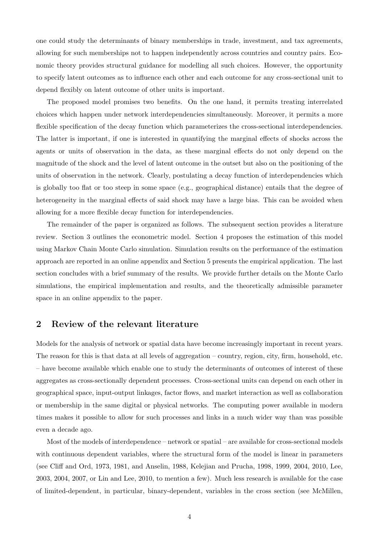one could study the determinants of binary memberships in trade, investment, and tax agreements, allowing for such memberships not to happen independently across countries and country pairs. Economic theory provides structural guidance for modelling all such choices. However, the opportunity to specify latent outcomes as to influence each other and each outcome for any cross-sectional unit to depend flexibly on latent outcome of other units is important.

The proposed model promises two benefits. On the one hand, it permits treating interrelated choices which happen under network interdependencies simultaneously. Moreover, it permits a more flexible specification of the decay function which parameterizes the cross-sectional interdependencies. The latter is important, if one is interested in quantifying the marginal effects of shocks across the agents or units of observation in the data, as these marginal effects do not only depend on the magnitude of the shock and the level of latent outcome in the outset but also on the positioning of the units of observation in the network. Clearly, postulating a decay function of interdependencies which is globally too flat or too steep in some space (e.g., geographical distance) entails that the degree of heterogeneity in the marginal effects of said shock may have a large bias. This can be avoided when allowing for a more flexible decay function for interdependencies.

The remainder of the paper is organized as follows. The subsequent section provides a literature review. Section 3 outlines the econometric model. Section 4 proposes the estimation of this model using Markov Chain Monte Carlo simulation. Simulation results on the performance of the estimation approach are reported in an online appendix and Section 5 presents the empirical application. The last section concludes with a brief summary of the results. We provide further details on the Monte Carlo simulations, the empirical implementation and results, and the theoretically admissible parameter space in an online appendix to the paper.

## 2 Review of the relevant literature

Models for the analysis of network or spatial data have become increasingly important in recent years. The reason for this is that data at all levels of aggregation – country, region, city, firm, household, etc. – have become available which enable one to study the determinants of outcomes of interest of these aggregates as cross-sectionally dependent processes. Cross-sectional units can depend on each other in geographical space, input-output linkages, factor flows, and market interaction as well as collaboration or membership in the same digital or physical networks. The computing power available in modern times makes it possible to allow for such processes and links in a much wider way than was possible even a decade ago.

Most of the models of interdependence – network or spatial – are available for cross-sectional models with continuous dependent variables, where the structural form of the model is linear in parameters (see Cliff and Ord, 1973, 1981, and Anselin, 1988, Kelejian and Prucha, 1998, 1999, 2004, 2010, Lee, 2003, 2004, 2007, or Lin and Lee, 2010, to mention a few). Much less research is available for the case of limited-dependent, in particular, binary-dependent, variables in the cross section (see McMillen,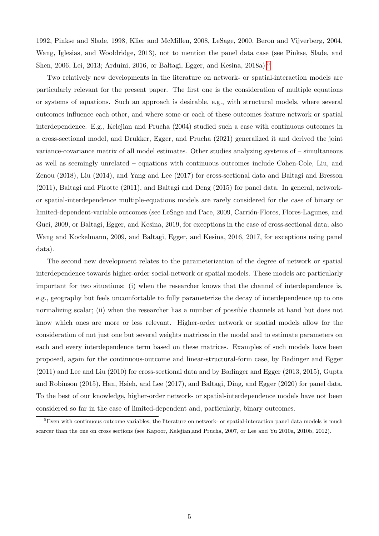1992, Pinkse and Slade, 1998, Klier and McMillen, 2008, LeSage, 2000, Beron and Vijverberg, 2004, Wang, Iglesias, and Wooldridge, 2013), not to mention the panel data case (see Pinkse, Slade, and Shen, 2006, Lei, 2013; Arduini, 2016, or Baltagi, Egger, and Kesina, 2018a). [5](#page-8-0)

Two relatively new developments in the literature on network- or spatial-interaction models are particularly relevant for the present paper. The first one is the consideration of multiple equations or systems of equations. Such an approach is desirable, e.g., with structural models, where several outcomes influence each other, and where some or each of these outcomes feature network or spatial interdependence. E.g., Kelejian and Prucha (2004) studied such a case with continuous outcomes in a cross-sectional model, and Drukker, Egger, and Prucha (2021) generalized it and derived the joint variance-covariance matrix of all model estimates. Other studies analyzing systems of – simultaneous as well as seemingly unrelated – equations with continuous outcomes include Cohen-Cole, Liu, and Zenou (2018), Liu (2014), and Yang and Lee (2017) for cross-sectional data and Baltagi and Bresson (2011), Baltagi and Pirotte (2011), and Baltagi and Deng (2015) for panel data. In general, networkor spatial-interdependence multiple-equations models are rarely considered for the case of binary or limited-dependent-variable outcomes (see LeSage and Pace, 2009, Carrion-Flores, Flores-Lagunes, and Guci, 2009, or Baltagi, Egger, and Kesina, 2019, for exceptions in the case of cross-sectional data; also Wang and Kockelmann, 2009, and Baltagi, Egger, and Kesina, 2016, 2017, for exceptions using panel data).

The second new development relates to the parameterization of the degree of network or spatial interdependence towards higher-order social-network or spatial models. These models are particularly important for two situations: (i) when the researcher knows that the channel of interdependence is, e.g., geography but feels uncomfortable to fully parameterize the decay of interdependence up to one normalizing scalar; (ii) when the researcher has a number of possible channels at hand but does not know which ones are more or less relevant. Higher-order network or spatial models allow for the consideration of not just one but several weights matrices in the model and to estimate parameters on each and every interdependence term based on these matrices. Examples of such models have been proposed, again for the continuous-outcome and linear-structural-form case, by Badinger and Egger (2011) and Lee and Liu (2010) for cross-sectional data and by Badinger and Egger (2013, 2015), Gupta and Robinson (2015), Han, Hsieh, and Lee (2017), and Baltagi, Ding, and Egger (2020) for panel data. To the best of our knowledge, higher-order network- or spatial-interdependence models have not been considered so far in the case of limited-dependent and, particularly, binary outcomes.

<span id="page-8-0"></span><sup>&</sup>lt;sup>5</sup>Even with continuous outcome variables, the literature on network- or spatial-interaction panel data models is much scarcer than the one on cross sections (see Kapoor, Kelejian,and Prucha, 2007, or Lee and Yu 2010a, 2010b, 2012).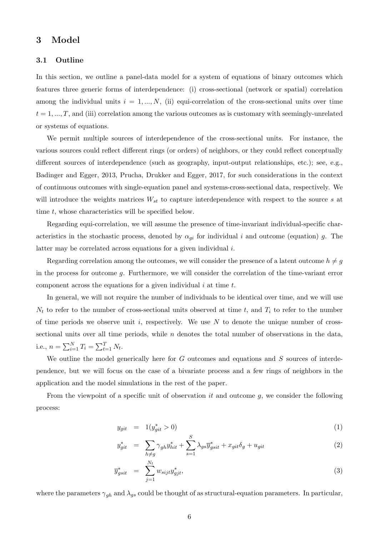## 3 Model

#### 3.1 Outline

In this section, we outline a panel-data model for a system of equations of binary outcomes which features three generic forms of interdependence: (i) cross-sectional (network or spatial) correlation among the individual units  $i = 1, ..., N$ , (ii) equi-correlation of the cross-sectional units over time  $t = 1, ..., T$ , and (iii) correlation among the various outcomes as is customary with seemingly-unrelated or systems of equations.

We permit multiple sources of interdependence of the cross-sectional units. For instance, the various sources could reflect different rings (or orders) of neighbors, or they could reflect conceptually different sources of interdependence (such as geography, input-output relationships, etc.); see, e.g., Badinger and Egger, 2013, Prucha, Drukker and Egger, 2017, for such considerations in the context of continuous outcomes with single-equation panel and systems-cross-sectional data, respectively. We will introduce the weights matrices  $W_{st}$  to capture interdependence with respect to the source s at time t, whose characteristics will be specified below.

Regarding equi-correlation, we will assume the presence of time-invariant individual-specific characteristics in the stochastic process, denoted by  $\alpha_{gi}$  for individual i and outcome (equation) g. The latter may be correlated across equations for a given individual i.

Regarding correlation among the outcomes, we will consider the presence of a latent outcome  $h \neq g$ in the process for outcome g. Furthermore, we will consider the correlation of the time-variant error component across the equations for a given individual  $i$  at time  $t$ .

In general, we will not require the number of individuals to be identical over time, and we will use  $N_t$  to refer to the number of cross-sectional units observed at time t, and  $T_i$  to refer to the number of time periods we observe unit  $i$ , respectively. We use  $N$  to denote the unique number of crosssectional units over all time periods, while  $n$  denotes the total number of observations in the data, i.e.,  $n = \sum_{i=1}^{N} T_i = \sum_{t=1}^{T} N_t$ .

We outline the model generically here for  $G$  outcomes and equations and  $S$  sources of interdependence, but we will focus on the case of a bivariate process and a few rings of neighbors in the application and the model simulations in the rest of the paper.

From the viewpoint of a specific unit of observation it and outcome  $q$ , we consider the following process:

$$
y_{git} = 1(y_{git}^{*} > 0)
$$
\n
$$
S \tag{1}
$$

$$
y_{git}^* = \sum_{h \neq g} \gamma_{gh} y_{hit}^* + \sum_{s=1}^{B} \lambda_{gs} \overline{y}_{gsit}^* + x_{git} \delta_g + u_{git}
$$
 (2)

$$
\overline{y}_{gsit}^* = \sum_{j=1}^{N_t} w_{sijt} y_{gjt}^*, \tag{3}
$$

where the parameters  $\gamma_{gh}$  and  $\lambda_{gs}$  could be thought of as structural-equation parameters. In particular,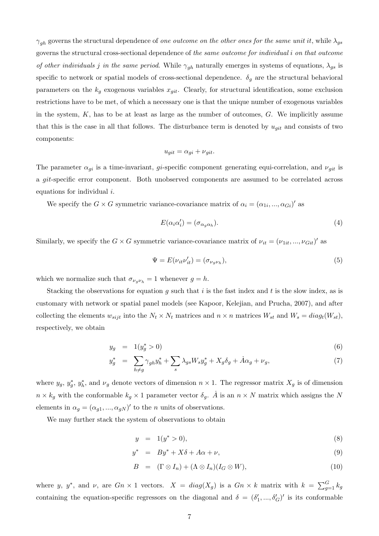$\gamma_{gh}$  governs the structural dependence of one outcome on the other ones for the same unit it, while  $\lambda_{gs}$ governs the structural cross-sectional dependence of the same outcome for individual i on that outcome of other individuals j in the same period. While  $\gamma_{gh}$  naturally emerges in systems of equations,  $\lambda_{gs}$  is specific to network or spatial models of cross-sectional dependence.  $\delta_g$  are the structural behavioral parameters on the  $k_g$  exogenous variables  $x_{git}$ . Clearly, for structural identification, some exclusion restrictions have to be met, of which a necessary one is that the unique number of exogenous variables in the system,  $K$ , has to be at least as large as the number of outcomes,  $G$ . We implicitly assume that this is the case in all that follows. The disturbance term is denoted by  $u_{git}$  and consists of two components:

$$
u_{git} = \alpha_{gi} + \nu_{git}.
$$

The parameter  $\alpha_{gi}$  is a time-invariant, gi-specific component generating equi-correlation, and  $\nu_{git}$  is a git-specific error component. Both unobserved components are assumed to be correlated across equations for individual i.

We specify the  $G \times G$  symmetric variance-covariance matrix of  $\alpha_i = (\alpha_{1i}, ..., \alpha_{Gi})'$  as

$$
E(\alpha_i \alpha_i') = (\sigma_{\alpha_g \alpha_h}). \tag{4}
$$

Similarly, we specify the  $G \times G$  symmetric variance-covariance matrix of  $\nu_{it} = (\nu_{1it}, ..., \nu_{Git})'$  as

$$
\Psi = E(\nu_{it}\nu'_{it}) = (\sigma_{\nu_g \nu_h}),\tag{5}
$$

which we normalize such that  $\sigma_{\nu_q \nu_h} = 1$  whenever  $g = h$ .

Stacking the observations for equation g such that i is the fast index and t is the slow index, as is customary with network or spatial panel models (see Kapoor, Kelejian, and Prucha, 2007), and after collecting the elements  $w_{sijt}$  into the  $N_t \times N_t$  matrices and  $n \times n$  matrices  $W_{st}$  and  $W_s = diag_t(W_{st}),$ respectively, we obtain

$$
y_g = 1(y_g^* > 0) \tag{6}
$$

$$
y_g^* = \sum_{h \neq g} \gamma_{gh} y_h^* + \sum_s \lambda_{gs} W_s y_g^* + X_g \delta_g + \dot{A} \alpha_g + \nu_g,\tag{7}
$$

where  $y_g, y_g^*, y_h^*$ , and  $\nu_g$  denote vectors of dimension  $n \times 1$ . The regressor matrix  $X_g$  is of dimension  $n \times k_g$  with the conformable  $k_g \times 1$  parameter vector  $\delta_g$ . A is an  $n \times N$  matrix which assigns the N elements in  $\alpha_q = (\alpha_{q1}, ..., \alpha_{qN})'$  to the *n* units of observations.

We may further stack the system of observations to obtain

$$
y = 1(y^* > 0), \tag{8}
$$

$$
y^* = By^* + X\delta + A\alpha + \nu, \tag{9}
$$

$$
B = (\Gamma \otimes I_n) + (\Lambda \otimes I_n)(I_G \otimes W), \qquad (10)
$$

where y, y<sup>\*</sup>, and v, are  $G_n \times 1$  vectors.  $X = diag(X_g)$  is a  $G_n \times k$  matrix with  $k = \sum_{g=1}^{G} k_g$ containing the equation-specific regressors on the diagonal and  $\delta = (\delta'_1, ..., \delta'_G)'$  is its conformable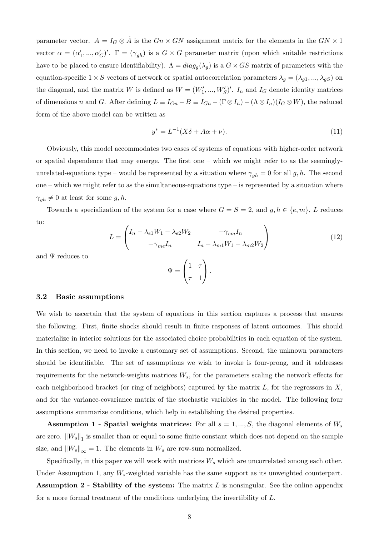parameter vector.  $A = I_G \otimes A$  is the  $G_n \times GN$  assignment matrix for the elements in the  $GN \times 1$ vector  $\alpha = (\alpha'_1, ..., \alpha'_G)'$ .  $\Gamma = (\gamma_{gh})$  is a  $G \times G$  parameter matrix (upon which suitable restrictions have to be placed to ensure identifiability).  $\Lambda = diag_q(\lambda_q)$  is a  $G \times GS$  matrix of parameters with the equation-specific  $1 \times S$  vectors of network or spatial autocorrelation parameters  $\lambda_g = (\lambda_{g1}, ..., \lambda_{gS})$  on the diagonal, and the matrix W is defined as  $W = (W'_1, ..., W'_S)'$ .  $I_n$  and  $I_G$  denote identity matrices of dimensions n and G. After defining  $L \equiv I_{Gn} - B \equiv I_{Gn} - (\Gamma \otimes I_n) - (\Lambda \otimes I_n)(I_G \otimes W)$ , the reduced form of the above model can be written as

<span id="page-11-0"></span>
$$
y^* = L^{-1}(X\delta + A\alpha + \nu). \tag{11}
$$

Obviously, this model accommodates two cases of systems of equations with higher-order network or spatial dependence that may emerge. The first one – which we might refer to as the seeminglyunrelated-equations type – would be represented by a situation where  $\gamma_{gh} = 0$  for all g, h. The second one – which we might refer to as the simultaneous-equations type – is represented by a situation where  $\gamma_{gh} \neq 0$  at least for some g, h. 6

Towards a specialization of the system for a case where  $G = S = 2$ , and  $g, h \in \{e, m\}, L$  reduces to:

<span id="page-11-1"></span>
$$
L = \begin{pmatrix} I_n - \lambda_{e1}W_1 - \lambda_{e2}W_2 & -\gamma_{em}I_n \\ -\gamma_{me}I_n & I_n - \lambda_{m1}W_1 - \lambda_{m2}W_2 \end{pmatrix}
$$
(12)

and  $\Psi$  reduces to

$$
\Psi = \begin{pmatrix} 1 & \tau \\ \tau & 1 \end{pmatrix}.
$$

#### 3.2 Basic assumptions

We wish to ascertain that the system of equations in this section captures a process that ensures the following. First, finite shocks should result in finite responses of latent outcomes. This should materialize in interior solutions for the associated choice probabilities in each equation of the system. In this section, we need to invoke a customary set of assumptions. Second, the unknown parameters should be identifiable. The set of assumptions we wish to invoke is four-prong, and it addresses requirements for the network-weights matrices  $W_s$ , for the parameters scaling the network effects for each neighborhood bracket (or ring of neighbors) captured by the matrix  $L$ , for the regressors in  $X$ , and for the variance-covariance matrix of the stochastic variables in the model. The following four assumptions summarize conditions, which help in establishing the desired properties.

Assumption 1 - Spatial weights matrices: For all  $s = 1, ..., S$ , the diagonal elements of  $W_s$ are zero.  $||W_s||_1$  is smaller than or equal to some finite constant which does not depend on the sample size, and  $\|W_s\|_{\infty} = 1$ . The elements in  $W_s$  are row-sum normalized.

Specifically, in this paper we will work with matrices  $W_s$  which are uncorrelated among each other. Under Assumption 1, any  $W_s$ -weighted variable has the same support as its unweighted counterpart. **Assumption 2 - Stability of the system:** The matrix  $L$  is nonsingular. See the online appendix for a more formal treatment of the conditions underlying the invertibility of L.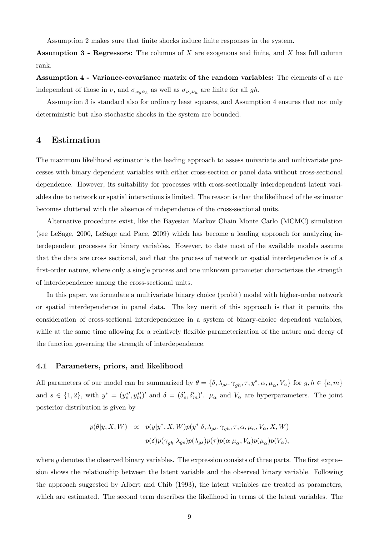Assumption 2 makes sure that finite shocks induce finite responses in the system.

**Assumption 3 - Regressors:** The columns of X are exogenous and finite, and X has full column rank.

Assumption 4 - Variance-covariance matrix of the random variables: The elements of  $\alpha$  are independent of those in  $\nu$ , and  $\sigma_{\alpha_g \alpha_h}$  as well as  $\sigma_{\nu_g \nu_h}$  are finite for all gh.

Assumption 3 is standard also for ordinary least squares, and Assumption 4 ensures that not only deterministic but also stochastic shocks in the system are bounded.

### 4 Estimation

The maximum likelihood estimator is the leading approach to assess univariate and multivariate processes with binary dependent variables with either cross-section or panel data without cross-sectional dependence. However, its suitability for processes with cross-sectionally interdependent latent variables due to network or spatial interactions is limited. The reason is that the likelihood of the estimator becomes cluttered with the absence of independence of the cross-sectional units.

Alternative procedures exist, like the Bayesian Markov Chain Monte Carlo (MCMC) simulation (see LeSage, 2000, LeSage and Pace, 2009) which has become a leading approach for analyzing interdependent processes for binary variables. However, to date most of the available models assume that the data are cross sectional, and that the process of network or spatial interdependence is of a first-order nature, where only a single process and one unknown parameter characterizes the strength of interdependence among the cross-sectional units.

In this paper, we formulate a multivariate binary choice (probit) model with higher-order network or spatial interdependence in panel data. The key merit of this approach is that it permits the consideration of cross-sectional interdependence in a system of binary-choice dependent variables, while at the same time allowing for a relatively flexible parameterization of the nature and decay of the function governing the strength of interdependence.

#### 4.1 Parameters, priors, and likelihood

All parameters of our model can be summarized by  $\theta = \{\delta, \lambda_{gs}, \gamma_{gh}, \tau, y^*, \alpha, \mu_\alpha, V_\alpha\}$  for  $g, h \in \{e, m\}$ and  $s \in \{1,2\}$ , with  $y^* = (y^*_{e}, y^*_{m})'$  and  $\delta = (\delta'_{e}, \delta'_{m})'$ .  $\mu_{\alpha}$  and  $V_{\alpha}$  are hyperparameters. The joint posterior distribution is given by

$$
\begin{array}{rcl} p(\theta|y,X,W) & \propto & p(y|y^*,X,W)p(y^*|\delta,\lambda_{gs},\gamma_{gh},\tau,\alpha,\mu_{\alpha},V_{\alpha},X,W) \\ \\ & & p(\delta)p(\gamma_{gh}|\lambda_{gs})p(\lambda_{gs})p(\tau)p(\alpha|\mu_{\alpha},V_{\alpha})p(\mu_{\alpha})p(V_{\alpha}), \end{array}
$$

where  $y$  denotes the observed binary variables. The expression consists of three parts. The first expression shows the relationship between the latent variable and the observed binary variable. Following the approach suggested by Albert and Chib (1993), the latent variables are treated as parameters, which are estimated. The second term describes the likelihood in terms of the latent variables. The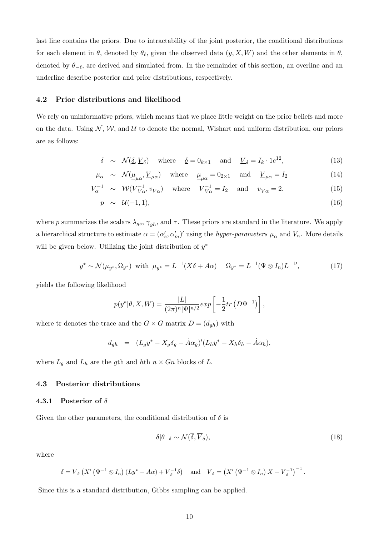last line contains the priors. Due to intractability of the joint posterior, the conditional distributions for each element in  $\theta$ , denoted by  $\theta_{\ell}$ , given the observed data  $(y, X, W)$  and the other elements in  $\theta$ , denoted by  $\theta_{-\ell}$ , are derived and simulated from. In the remainder of this section, an overline and an underline describe posterior and prior distributions, respectively.

#### 4.2 Prior distributions and likelihood

We rely on uninformative priors, which means that we place little weight on the prior beliefs and more on the data. Using  $\mathcal{N}, \mathcal{W},$  and  $\mathcal{U}$  to denote the normal, Wishart and uniform distribution, our priors are as follows:

$$
\delta \sim \mathcal{N}(\underline{\delta}, \underline{V}_{\delta}) \quad \text{where} \quad \underline{\delta} = 0_{k \times 1} \quad \text{and} \quad \underline{V}_{\delta} = I_k \cdot 1 e^{12}, \tag{13}
$$

$$
\mu_{\alpha} \sim \mathcal{N}(\underline{\mu}_{\mu\alpha}, \underline{V}_{\mu\alpha})
$$
 where  $\underline{\mu}_{\mu\alpha} = 0_{2\times 1}$  and  $\underline{V}_{\mu\alpha} = I_2$  (14)

$$
V_{\alpha}^{-1} \sim \mathcal{W}(\underline{V}_{V\alpha}^{-1}, \underline{v}_{V\alpha}) \quad \text{where} \quad \underline{V}_{V\alpha}^{-1} = I_2 \quad \text{and} \quad \underline{v}_{V\alpha} = 2. \tag{15}
$$

$$
p \sim \mathcal{U}(-1,1), \tag{16}
$$

where p summarizes the scalars  $\lambda_{gs}$ ,  $\gamma_{gh}$ , and  $\tau$ . These priors are standard in the literature. We apply a hierarchical structure to estimate  $\alpha = (\alpha'_e, \alpha'_m)'$  using the *hyper-parameters*  $\mu_\alpha$  and  $V_\alpha$ . More details will be given below. Utilizing the joint distribution of  $y^*$ 

<span id="page-13-0"></span>
$$
y^* \sim \mathcal{N}(\mu_{y^*}, \Omega_{y^*}) \text{ with } \mu_{y^*} = L^{-1}(X\delta + A\alpha) \quad \Omega_{y^*} = L^{-1}(\Psi \otimes I_n)L^{-1'}, \tag{17}
$$

yields the following likelihood

$$
p(y^* | \theta, X, W) = \frac{|L|}{(2\pi)^n |\Psi|^{n/2}} exp \left[ -\frac{1}{2} tr (D \Psi^{-1}) \right],
$$

where tr denotes the trace and the  $G \times G$  matrix  $D = (d_{gh})$  with

$$
d_{gh} = (L_g y^* - X_g \delta_g - \dot{A} \alpha_g)' (L_h y^* - X_h \delta_h - \dot{A} \alpha_h),
$$

where  $L_g$  and  $L_h$  are the gth and hth  $n \times G_n$  blocks of L.

#### 4.3 Posterior distributions

#### 4.3.1 Posterior of  $\delta$

Given the other parameters, the conditional distribution of  $\delta$  is

$$
\delta|\theta_{-\delta} \sim \mathcal{N}(\overline{\delta}, \overline{V}_{\delta}),\tag{18}
$$

where

$$
\overline{\delta} = \overline{V}_{\delta} \left( X' \left( \Psi^{-1} \otimes I_n \right) (Ly^* - A\alpha) + \underline{V}_{\delta}^{-1} \underline{\delta} \right) \quad \text{and} \quad \overline{V}_{\delta} = \left( X' \left( \Psi^{-1} \otimes I_n \right) X + \underline{V}_{\delta}^{-1} \right)^{-1}.
$$

Since this is a standard distribution, Gibbs sampling can be applied.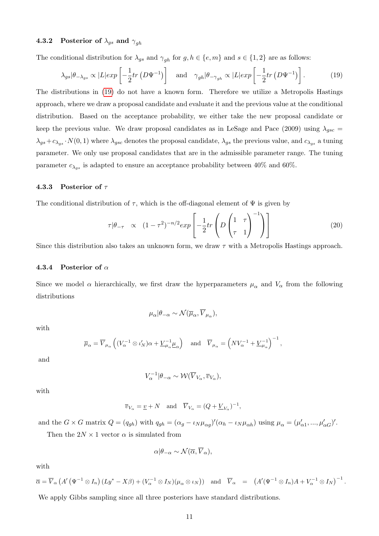#### 4.3.2 Posterior of  $\lambda_{qs}$  and  $\gamma_{gh}$

The conditional distribution for  $\lambda_{gs}$  and  $\gamma_{gh}$  for  $g, h \in \{e, m\}$  and  $s \in \{1, 2\}$  are as follows:

<span id="page-14-0"></span>
$$
\lambda_{gs}|\theta_{-\lambda_{gs}} \propto |L| exp\left[-\frac{1}{2}tr\left(D\Psi^{-1}\right)\right] \quad \text{and} \quad \gamma_{gh}|\theta_{-\gamma_{gh}} \propto |L| exp\left[-\frac{1}{2}tr\left(D\Psi^{-1}\right)\right]. \tag{19}
$$

The distributions in [\(19\)](#page-14-0) do not have a known form. Therefore we utilize a Metropolis Hastings approach, where we draw a proposal candidate and evaluate it and the previous value at the conditional distribution. Based on the acceptance probability, we either take the new proposal candidate or keep the previous value. We draw proposal candidates as in LeSage and Pace (2009) using  $\lambda_{gsc}$  =  $\lambda_{gs}+c\lambda_{gs} \cdot N(0, 1)$  where  $\lambda_{gsc}$  denotes the proposal candidate,  $\lambda_{gs}$  the previous value, and  $c\lambda_{gs}$  a tuning parameter. We only use proposal candidates that are in the admissible parameter range. The tuning parameter  $c_{\lambda_{\alpha s}}$  is adapted to ensure an acceptance probability between 40% and 60%.

#### 4.3.3 Posterior of  $\tau$

The conditional distribution of  $\tau$ , which is the off-diagonal element of  $\Psi$  is given by

$$
\tau|\theta_{-\tau} \propto (1-\tau^2)^{-n/2} exp\left[-\frac{1}{2}tr\left(D\left(\frac{1}{\tau} - \frac{\tau}{1}\right)^{-1}\right)\right]
$$
\n(20)

Since this distribution also takes an unknown form, we draw  $\tau$  with a Metropolis Hastings approach.

#### 4.3.4 Posterior of  $\alpha$

Since we model  $\alpha$  hierarchically, we first draw the hyperparameters  $\mu_{\alpha}$  and  $V_{\alpha}$  from the following distributions

$$
\mu_{\alpha}|\theta_{-\alpha} \sim \mathcal{N}(\overline{\mu}_{\alpha},\overline{V}_{\mu_{\alpha}}),
$$

with

$$
\overline{\mu}_{\alpha} = \overline{V}_{\mu_{\alpha}} \left( (V_{\alpha}^{-1} \otimes \iota'_{N}) \alpha + \underline{V}_{\mu_{\alpha}}^{-1} \underline{\mu}_{\alpha} \right) \quad \text{and} \quad \overline{V}_{\mu_{\alpha}} = \left( N V_{\alpha}^{-1} + \underline{V}_{\mu_{\alpha}}^{-1} \right)^{-1},
$$

and

$$
V_{\alpha}^{-1}|\theta_{-\alpha} \sim \mathcal{W}(\overline{V}_{V_{\alpha}}, \overline{v}_{V_{\alpha}}),
$$

with

$$
\overline{v}_{V_{\alpha}} = \underline{v} + N
$$
 and  $\overline{V}_{V_{\alpha}} = (Q + \underline{V}_{V_{\alpha}})^{-1}$ ,

and the  $G \times G$  matrix  $Q = (q_{gh})$  with  $q_{gh} = (\alpha_g - \iota_N \mu_{\alpha g})'(\alpha_h - \iota_N \mu_{\alpha h})$  using  $\mu_\alpha = (\mu'_{\alpha 1}, ..., \mu'_{\alpha G})'$ .

Then the  $2N \times 1$  vector  $\alpha$  is simulated from

$$
\alpha | \theta_{-\alpha} \sim \mathcal{N}(\overline{\alpha}, \overline{V}_{\alpha}),
$$

with

$$
\overline{\alpha} = \overline{V}_{\alpha} \left( A' \left( \Psi^{-1} \otimes I_n \right) (Ly^* - X\beta) + (V_{\alpha}^{-1} \otimes I_N)(\mu_{\alpha} \otimes \iota_N) \right) \text{ and } \overline{V}_{\alpha} = \left( A' (\Psi^{-1} \otimes I_n) A + V_{\alpha}^{-1} \otimes I_N \right)^{-1}.
$$
  
We apply Gibbs sampling since all three posteriors have standard distributions.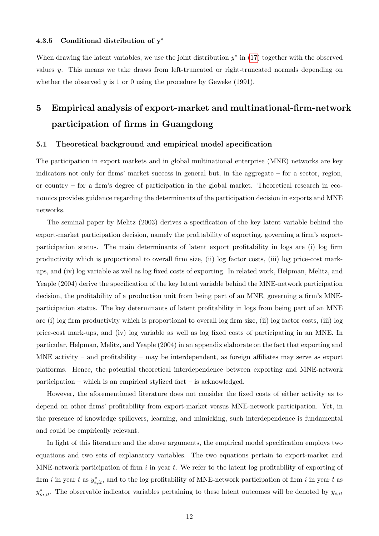#### 4.3.5 Conditional distribution of y<sup>∗</sup>

When drawing the latent variables, we use the joint distribution  $y^*$  in [\(17\)](#page-13-0) together with the observed values y. This means we take draws from left-truncated or right-truncated normals depending on whether the observed  $y$  is 1 or 0 using the procedure by Geweke (1991).

# 5 Empirical analysis of export-market and multinational-firm-network participation of firms in Guangdong

#### 5.1 Theoretical background and empirical model specification

The participation in export markets and in global multinational enterprise (MNE) networks are key indicators not only for firms' market success in general but, in the aggregate – for a sector, region, or country – for a firm's degree of participation in the global market. Theoretical research in economics provides guidance regarding the determinants of the participation decision in exports and MNE networks.

The seminal paper by Melitz (2003) derives a specification of the key latent variable behind the export-market participation decision, namely the profitability of exporting, governing a firm's exportparticipation status. The main determinants of latent export profitability in logs are (i) log firm productivity which is proportional to overall firm size, (ii) log factor costs, (iii) log price-cost markups, and (iv) log variable as well as log fixed costs of exporting. In related work, Helpman, Melitz, and Yeaple (2004) derive the specification of the key latent variable behind the MNE-network participation decision, the profitability of a production unit from being part of an MNE, governing a firm's MNEparticipation status. The key determinants of latent profitability in logs from being part of an MNE are (i) log firm productivity which is proportional to overall log firm size, (ii) log factor costs, (iii) log price-cost mark-ups, and (iv) log variable as well as log fixed costs of participating in an MNE. In particular, Helpman, Melitz, and Yeaple (2004) in an appendix elaborate on the fact that exporting and MNE activity – and profitability – may be interdependent, as foreign affiliates may serve as export platforms. Hence, the potential theoretical interdependence between exporting and MNE-network participation – which is an empirical stylized fact – is acknowledged.

However, the aforementioned literature does not consider the fixed costs of either activity as to depend on other firms' profitability from export-market versus MNE-network participation. Yet, in the presence of knowledge spillovers, learning, and mimicking, such interdependence is fundamental and could be empirically relevant.

In light of this literature and the above arguments, the empirical model specification employs two equations and two sets of explanatory variables. The two equations pertain to export-market and MNE-network participation of firm  $i$  in year  $t$ . We refer to the latent log profitability of exporting of firm i in year t as  $y_{e,it}^*$ , and to the log profitability of MNE-network participation of firm i in year t as  $y_{m,i}^*$ . The observable indicator variables pertaining to these latent outcomes will be denoted by  $y_{e,ii}$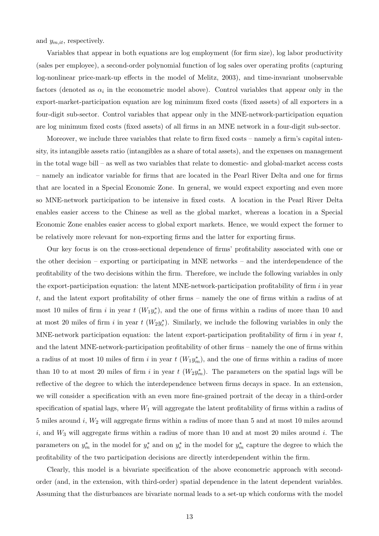and  $y_{m,it}$ , respectively.

Variables that appear in both equations are log employment (for firm size), log labor productivity (sales per employee), a second-order polynomial function of log sales over operating profits (capturing log-nonlinear price-mark-up effects in the model of Melitz, 2003), and time-invariant unobservable factors (denoted as  $\alpha_i$  in the econometric model above). Control variables that appear only in the export-market-participation equation are log minimum fixed costs (fixed assets) of all exporters in a four-digit sub-sector. Control variables that appear only in the MNE-network-participation equation are log minimum fixed costs (fixed assets) of all firms in an MNE network in a four-digit sub-sector.

Moreover, we include three variables that relate to firm fixed costs – namely a firm's capital intensity, its intangible assets ratio (intangibles as a share of total assets), and the expenses on management in the total wage bill – as well as two variables that relate to domestic- and global-market access costs – namely an indicator variable for firms that are located in the Pearl River Delta and one for firms that are located in a Special Economic Zone. In general, we would expect exporting and even more so MNE-network participation to be intensive in fixed costs. A location in the Pearl River Delta enables easier access to the Chinese as well as the global market, whereas a location in a Special Economic Zone enables easier access to global export markets. Hence, we would expect the former to be relatively more relevant for non-exporting firms and the latter for exporting firms.

Our key focus is on the cross-sectional dependence of firms' profitability associated with one or the other decision – exporting or participating in MNE networks – and the interdependence of the profitability of the two decisions within the firm. Therefore, we include the following variables in only the export-participation equation: the latent MNE-network-participation profitability of firm  $i$  in year t, and the latent export profitability of other firms – namely the one of firms within a radius of at most 10 miles of firm i in year t  $(W_1y_e^*)$ , and the one of firms within a radius of more than 10 and at most 20 miles of firm i in year t  $(W_2 y_e^*)$ . Similarly, we include the following variables in only the MNE-network participation equation: the latent export-participation profitability of firm  $i$  in year  $t$ , and the latent MNE-network-participation profitability of other firms – namely the one of firms within a radius of at most 10 miles of firm i in year  $t$  ( $W_1y_m^*$ ), and the one of firms within a radius of more than 10 to at most 20 miles of firm i in year t  $(W_2 y_m^*)$ . The parameters on the spatial lags will be reflective of the degree to which the interdependence between firms decays in space. In an extension, we will consider a specification with an even more fine-grained portrait of the decay in a third-order specification of spatial lags, where  $W_1$  will aggregate the latent profitability of firms within a radius of 5 miles around i, W<sup>2</sup> will aggregate firms within a radius of more than 5 and at most 10 miles around  $i$ , and  $W_3$  will aggregate firms within a radius of more than 10 and at most 20 miles around i. The parameters on  $y_m^*$  in the model for  $y_e^*$  and on  $y_e^*$  in the model for  $y_m^*$  capture the degree to which the profitability of the two participation decisions are directly interdependent within the firm.

Clearly, this model is a bivariate specification of the above econometric approach with secondorder (and, in the extension, with third-order) spatial dependence in the latent dependent variables. Assuming that the disturbances are bivariate normal leads to a set-up which conforms with the model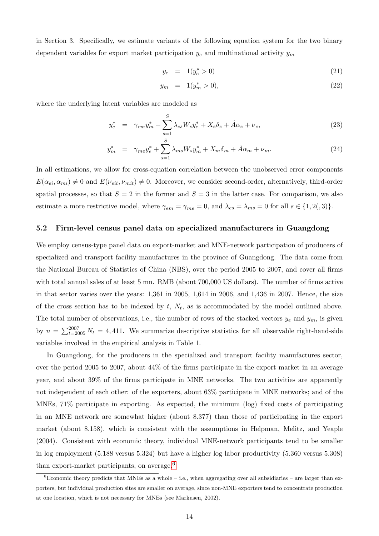in Section 3. Specifically, we estimate variants of the following equation system for the two binary dependent variables for export market participation  $y_e$  and multinational activity  $y_m$ 

$$
y_e = 1(y_e^* > 0) \tag{21}
$$

$$
y_m = 1(y_m^* > 0), \tag{22}
$$

where the underlying latent variables are modeled as

$$
y_e^* = \gamma_{em} y_m^* + \sum_{s=1}^{S} \lambda_{es} W_s y_e^* + X_e \delta_e + A \alpha_e + \nu_e,
$$
 (23)

$$
y_m^* = \gamma_{me} y_e^* + \sum_{s=1}^S \lambda_{ms} W_s y_m^* + X_m \delta_m + \dot{A} \alpha_m + \nu_m. \tag{24}
$$

In all estimations, we allow for cross-equation correlation between the unobserved error components  $E(\alpha_{ei}, \alpha_{mi}) \neq 0$  and  $E(\nu_{eit}, \nu_{mit}) \neq 0$ . Moreover, we consider second-order, alternatively, third-order spatial processes, so that  $S = 2$  in the former and  $S = 3$  in the latter case. For comparison, we also estimate a more restrictive model, where  $\gamma_{em} = \gamma_{me} = 0$ , and  $\lambda_{es} = \lambda_{ms} = 0$  for all  $s \in \{1, 2(0, 3)\}.$ 

#### 5.2 Firm-level census panel data on specialized manufacturers in Guangdong

We employ census-type panel data on export-market and MNE-network participation of producers of specialized and transport facility manufactures in the province of Guangdong. The data come from the National Bureau of Statistics of China (NBS), over the period 2005 to 2007, and cover all firms with total annual sales of at least 5 mn. RMB (about 700,000 US dollars). The number of firms active in that sector varies over the years: 1,361 in 2005, 1,614 in 2006, and 1,436 in 2007. Hence, the size of the cross section has to be indexed by  $t$ ,  $N_t$ , as is accommodated by the model outlined above. The total number of observations, i.e., the number of rows of the stacked vectors  $y_e$  and  $y_m$ , is given by  $n = \sum_{t=2005}^{2007} N_t = 4,411$ . We summarize descriptive statistics for all observable right-hand-side variables involved in the empirical analysis in Table 1.

In Guangdong, for the producers in the specialized and transport facility manufactures sector, over the period 2005 to 2007, about 44% of the firms participate in the export market in an average year, and about 39% of the firms participate in MNE networks. The two activities are apparently not independent of each other: of the exporters, about 63% participate in MNE networks; and of the MNEs, 71% participate in exporting. As expected, the minimum (log) fixed costs of participating in an MNE network are somewhat higher (about 8.377) than those of participating in the export market (about 8.158), which is consistent with the assumptions in Helpman, Melitz, and Yeaple (2004). Consistent with economic theory, individual MNE-network participants tend to be smaller in log employment (5.188 versus 5.324) but have a higher log labor productivity (5.360 versus 5.308) than export-market participants, on average. $6$ 

<span id="page-17-0"></span> ${}^{6}$ Economic theory predicts that MNEs as a whole – i.e., when aggregating over all subsidiaries – are larger than exporters, but individual production sites are smaller on average, since non-MNE exporters tend to concentrate production at one location, which is not necessary for MNEs (see Markusen, 2002).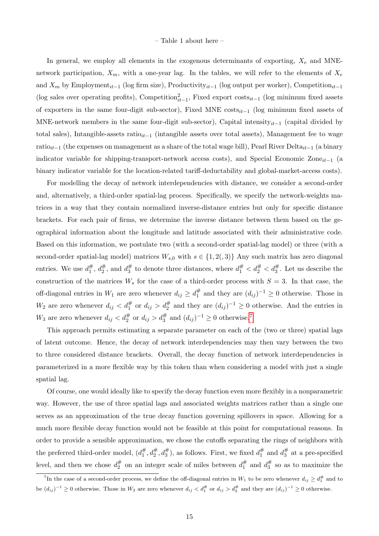#### – Table 1 about here –

In general, we employ all elements in the exogenous determinants of exporting,  $X_e$  and MNEnetwork participation,  $X_m$ , with a one-year lag. In the tables, we will refer to the elements of  $X_e$ and  $X_m$  by Employment<sub>it−1</sub> (log firm size), Productivity<sub>it−1</sub> (log output per worker), Competition<sub>it−1</sub> (log sales over operating profits), Competition $_{it-1}^2$ , Fixed export costs<sub>it−1</sub> (log minimum fixed assets of exporters in the same four-digit sub-sector), Fixed MNE costs<sub>it-1</sub> (log minimum fixed assets of MNE-network members in the same four-digit sub-sector), Capital intensity $_{it-1}$  (capital divided by total sales), Intangible-assets ratio<sub>it−1</sub> (intangible assets over total assets), Management fee to wage ratio<sub>it−1</sub> (the expenses on management as a share of the total wage bill), Pearl River Delta<sub>it−1</sub> (a binary indicator variable for shipping-transport-network access costs), and Special Economic Zone $_{it-1}$  (a binary indicator variable for the location-related tariff-deductability and global-market-access costs).

For modelling the decay of network interdependencies with distance, we consider a second-order and, alternatively, a third-order spatial-lag process. Specifically, we specify the network-weights matrices in a way that they contain normalized inverse-distance entries but only for specific distance brackets. For each pair of firms, we determine the inverse distance between them based on the geographical information about the longitude and latitude associated with their administrative code. Based on this information, we postulate two (with a second-order spatial-lag model) or three (with a second-order spatial-lag model) matrices  $W_{s,0}$  with  $s \in \{1,2(,3)\}\)$  Any such matrix has zero diagonal entries. We use  $d_1^\#$ ,  $d_2^\#$ , and  $d_3^\#$  to denote three distances, where  $d_1^\# < d_2^\# < d_3^\#$ . Let us describe the construction of the matrices  $W_s$  for the case of a third-order process with  $S = 3$ . In that case, the off-diagonal entries in  $W_1$  are zero whenever  $d_{ij} \ge d_1^{\#}$  and they are  $(d_{ij})^{-1} \ge 0$  otherwise. Those in  $W_2$  are zero whenever  $d_{ij} < d_1^{\#}$  or  $d_{ij} > d_2^{\#}$  and they are  $(d_{ij})^{-1} \geq 0$  otherwise. And the entries in  $W_3$  are zero whenever  $d_{ij} < d_2^{\#}$  or  $d_{ij} > d_3^{\#}$  and  $(d_{ij})^{-1} \geq 0$  otherwise.<sup>[7](#page-18-0)</sup>

This approach permits estimating a separate parameter on each of the (two or three) spatial lags of latent outcome. Hence, the decay of network interdependencies may then vary between the two to three considered distance brackets. Overall, the decay function of network interdependencies is parameterized in a more flexible way by this token than when considering a model with just a single spatial lag.

Of course, one would ideally like to specify the decay function even more flexibly in a nonparametric way. However, the use of three spatial lags and associated weights matrices rather than a single one serves as an approximation of the true decay function governing spillovers in space. Allowing for a much more flexible decay function would not be feasible at this point for computational reasons. In order to provide a sensible approximation, we chose the cutoffs separating the rings of neighbors with the preferred third-order model,  $(d_1^{\#}, d_2^{\#}, d_3^{\#})$ , as follows. First, we fixed  $d_1^{\#}$  and  $d_3^{\#}$  at a pre-specified level, and then we chose  $d_2^{\#}$  on an integer scale of miles between  $d_1^{\#}$  and  $d_3^{\#}$  so as to maximize the

<span id="page-18-0"></span><sup>&</sup>lt;sup>7</sup>In the case of a second-order process, we define the off-diagonal entries in  $W_1$  to be zero whenever  $d_{ij} \ge d_1^{\#}$  and to be  $(d_{ij})^{-1} \geq 0$  otherwise. Those in  $W_2$  are zero whenever  $d_{ij} < d_1^{\#}$  or  $d_{ij} > d_2^{\#}$  and they are  $(d_{ij})^{-1} \geq 0$  otherwise.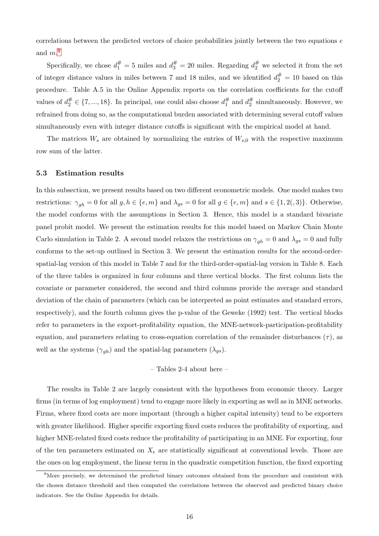correlations between the predicted vectors of choice probabilities jointly between the two equations  $e$ and  $m^8$  $m^8$ 

Specifically, we chose  $d_1^{\#} = 5$  miles and  $d_3^{\#} = 20$  miles. Regarding  $d_2^{\#}$  we selected it from the set of integer distance values in miles between 7 and 18 miles, and we identified  $d_2^{\#} = 10$  based on this procedure. Table A.5 in the Online Appendix reports on the correlation coefficients for the cutoff values of  $d_2^{\#} \in \{7, ..., 18\}$ . In principal, one could also choose  $d_1^{\#}$  and  $d_2^{\#}$  simultaneously. However, we refrained from doing so, as the computational burden associated with determining several cutoff values simultaneously even with integer distance cutoffs is significant with the empirical model at hand.

The matrices  $W_s$  are obtained by normalizing the entries of  $W_{s,0}$  with the respective maximum row sum of the latter.

#### 5.3 Estimation results

In this subsection, we present results based on two different econometric models. One model makes two restrictions:  $\gamma_{gh} = 0$  for all  $g, h \in \{e, m\}$  and  $\lambda_{gs} = 0$  for all  $g \in \{e, m\}$  and  $s \in \{1, 2(0, 3)\}$ . Otherwise, the model conforms with the assumptions in Section 3. Hence, this model is a standard bivariate panel probit model. We present the estimation results for this model based on Markov Chain Monte Carlo simulation in Table 2. A second model relaxes the restrictions on  $\gamma_{gh} = 0$  and  $\lambda_{gs} = 0$  and fully conforms to the set-up outlined in Section 3. We present the estimation results for the second-orderspatial-lag version of this model in Table 7 and for the third-order-spatial-lag version in Table 8. Each of the three tables is organized in four columns and three vertical blocks. The first column lists the covariate or parameter considered, the second and third columns provide the average and standard deviation of the chain of parameters (which can be interpreted as point estimates and standard errors, respectively), and the fourth column gives the p-value of the Geweke (1992) test. The vertical blocks refer to parameters in the export-profitability equation, the MNE-network-participation-profitability equation, and parameters relating to cross-equation correlation of the remainder disturbances  $(\tau)$ , as well as the systems  $(\gamma_{gh})$  and the spatial-lag parameters  $(\lambda_{gs})$ .

– Tables 2-4 about here –

The results in Table 2 are largely consistent with the hypotheses from economic theory. Larger firms (in terms of log employment) tend to engage more likely in exporting as well as in MNE networks. Firms, where fixed costs are more important (through a higher capital intensity) tend to be exporters with greater likelihood. Higher specific exporting fixed costs reduces the profitability of exporting, and higher MNE-related fixed costs reduce the profitability of participating in an MNE. For exporting, four of the ten parameters estimated on  $X_e$  are statistically significant at conventional levels. Those are the ones on log employment, the linear term in the quadratic competition function, the fixed exporting

<span id="page-19-0"></span><sup>&</sup>lt;sup>8</sup>More precisely, we determined the predicted binary outcomes obtained from the procedure and consistent with the chosen distance threshold and then computed the correlations between the observed and predicted binary choice indicators. See the Online Appendix for details.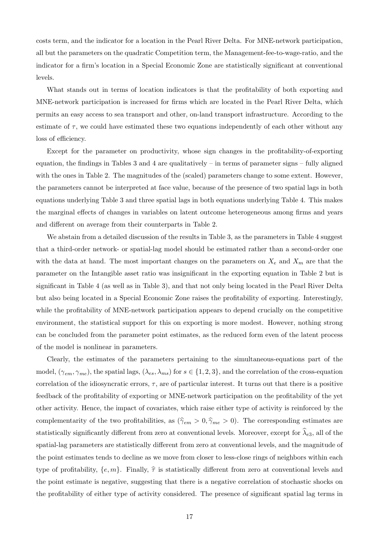costs term, and the indicator for a location in the Pearl River Delta. For MNE-network participation, all but the parameters on the quadratic Competition term, the Management-fee-to-wage-ratio, and the indicator for a firm's location in a Special Economic Zone are statistically significant at conventional levels.

What stands out in terms of location indicators is that the profitability of both exporting and MNE-network participation is increased for firms which are located in the Pearl River Delta, which permits an easy access to sea transport and other, on-land transport infrastructure. According to the estimate of  $\tau$ , we could have estimated these two equations independently of each other without any loss of efficiency.

Except for the parameter on productivity, whose sign changes in the profitability-of-exporting equation, the findings in Tables 3 and 4 are qualitatively – in terms of parameter signs – fully aligned with the ones in Table 2. The magnitudes of the (scaled) parameters change to some extent. However, the parameters cannot be interpreted at face value, because of the presence of two spatial lags in both equations underlying Table 3 and three spatial lags in both equations underlying Table 4. This makes the marginal effects of changes in variables on latent outcome heterogeneous among firms and years and different on average from their counterparts in Table 2.

We abstain from a detailed discussion of the results in Table 3, as the parameters in Table 4 suggest that a third-order network- or spatial-lag model should be estimated rather than a second-order one with the data at hand. The most important changes on the parameters on  $X_e$  and  $X_m$  are that the parameter on the Intangible asset ratio was insignificant in the exporting equation in Table 2 but is significant in Table 4 (as well as in Table 3), and that not only being located in the Pearl River Delta but also being located in a Special Economic Zone raises the profitability of exporting. Interestingly, while the profitability of MNE-network participation appears to depend crucially on the competitive environment, the statistical support for this on exporting is more modest. However, nothing strong can be concluded from the parameter point estimates, as the reduced form even of the latent process of the model is nonlinear in parameters.

Clearly, the estimates of the parameters pertaining to the simultaneous-equations part of the model,  $(\gamma_{em}, \gamma_{me})$ , the spatial lags,  $(\lambda_{es}, \lambda_{ms})$  for  $s \in \{1, 2, 3\}$ , and the correlation of the cross-equation correlation of the idiosyncratic errors,  $\tau$ , are of particular interest. It turns out that there is a positive feedback of the profitability of exporting or MNE-network participation on the profitability of the yet other activity. Hence, the impact of covariates, which raise either type of activity is reinforced by the complementarity of the two profitabilities, as  $(\hat{\gamma}_{em} > 0, \hat{\gamma}_{me} > 0)$ . The corresponding estimates are statistically significantly different from zero at conventional levels. Moreover, except for  $\lambda_{e3}$ , all of the spatial-lag parameters are statistically different from zero at conventional levels, and the magnitude of the point estimates tends to decline as we move from closer to less-close rings of neighbors within each type of profitability,  $\{e, m\}$ . Finally,  $\hat{\tau}$  is statistically different from zero at conventional levels and the point estimate is negative, suggesting that there is a negative correlation of stochastic shocks on the profitability of either type of activity considered. The presence of significant spatial lag terms in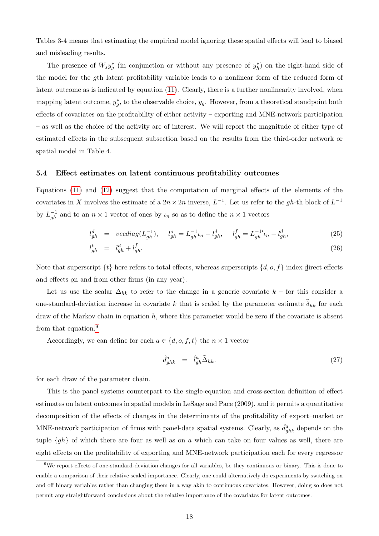Tables 3-4 means that estimating the empirical model ignoring these spatial effects will lead to biased and misleading results.

The presence of  $W_s y_g^*$  (in conjunction or without any presence of  $y_h^*$ ) on the right-hand side of the model for the gth latent profitability variable leads to a nonlinear form of the reduced form of latent outcome as is indicated by equation [\(11\)](#page-11-0). Clearly, there is a further nonlinearity involved, when mapping latent outcome,  $y_g^*$ , to the observable choice,  $y_g$ . However, from a theoretical standpoint both effects of covariates on the profitability of either activity – exporting and MNE-network participation – as well as the choice of the activity are of interest. We will report the magnitude of either type of estimated effects in the subsequent subsection based on the results from the third-order network or spatial model in Table 4.

#### 5.4 Effect estimates on latent continuous profitability outcomes

Equations [\(11\)](#page-11-0) and [\(12\)](#page-11-1) suggest that the computation of marginal effects of the elements of the covariates in X involves the estimate of a  $2n \times 2n$  inverse,  $L^{-1}$ . Let us refer to the gh-th block of  $L^{-1}$ by  $L_{gh}^{-1}$  and to an  $n \times 1$  vector of ones by  $\iota_n$  so as to define the  $n \times 1$  vectors

$$
l_{gh}^d = \text{vecd}\text{ing}(L_{gh}^{-1}), \quad l_{gh}^o = L_{gh}^{-1} \iota_n - l_{gh}^d, \quad l_{gh}^f = L_{gh}^{-1} \iota_n - l_{gh}^d,\tag{25}
$$

$$
l_{gh}^t = l_{gh}^d + l_{gh}^f. \tag{26}
$$

Note that superscript  $\{t\}$  here refers to total effects, whereas superscripts  $\{d, o, f\}$  index direct effects and effects <u>on</u> and <u>from</u> other firms (in any year).

Let us use the scalar  $\Delta_{hk}$  to refer to the change in a generic covariate  $k$  – for this consider a one-standard-deviation increase in covariate k that is scaled by the parameter estimate  $\delta_{hk}$  for each draw of the Markov chain in equation  $h$ , where this parameter would be zero if the covariate is absent from that equation.<sup>[9](#page-21-0)</sup>

Accordingly, we can define for each  $a \in \{d, o, f, t\}$  the  $n \times 1$  vector

<span id="page-21-1"></span>
$$
\hat{d}_{ghk}^a = \hat{l}_{gh}^a \hat{\Delta}_{hk}.
$$
\n(27)

for each draw of the parameter chain.

This is the panel systems counterpart to the single-equation and cross-section definition of effect estimates on latent outcomes in spatial models in LeSage and Pace (2009), and it permits a quantitative decomposition of the effects of changes in the determinants of the profitability of export–market or MNE-network participation of firms with panel-data spatial systems. Clearly, as  $\hat{d}_{ghk}^a$  depends on the tuple  $\{gh\}$  of which there are four as well as on a which can take on four values as well, there are eight effects on the profitability of exporting and MNE-network participation each for every regressor

<span id="page-21-0"></span> $9W$ e report effects of one-standard-deviation changes for all variables, be they continuous or binary. This is done to enable a comparison of their relative scaled importance. Clearly, one could alternatively do experiments by switching on and off binary variables rather than changing them in a way akin to continuous covariates. However, doing so does not permit any straightforward conclusions about the relative importance of the covariates for latent outcomes.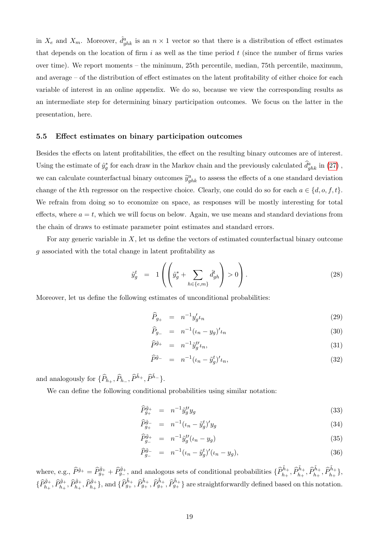in  $X_e$  and  $X_m$ . Moreover,  $\hat{d}_{ghk}^a$  is an  $n \times 1$  vector so that there is a distribution of effect estimates that depends on the location of firm i as well as the time period  $t$  (since the number of firms varies over time). We report moments – the minimum, 25th percentile, median, 75th percentile, maximum, and average – of the distribution of effect estimates on the latent profitability of either choice for each variable of interest in an online appendix. We do so, because we view the corresponding results as an intermediate step for determining binary participation outcomes. We focus on the latter in the presentation, here.

#### 5.5 Effect estimates on binary participation outcomes

Besides the effects on latent profitabilities, the effect on the resulting binary outcomes are of interest. Using the estimate of  $\hat{y}_g^*$  for each draw in the Markov chain and the previously calculated  $\hat{d}_{ghk}^a$  in [\(27\)](#page-21-1), we can calculate counterfactual binary outcomes  $\tilde{y}^a_{ghk}$  to assess the effects of a one standard deviation change of the kth regressor on the respective choice. Clearly, one could do so for each  $a \in \{d, o, f, t\}.$ We refrain from doing so to economize on space, as responses will be mostly interesting for total effects, where  $a = t$ , which we will focus on below. Again, we use means and standard deviations from the chain of draws to estimate parameter point estimates and standard errors.

For any generic variable in  $X$ , let us define the vectors of estimated counterfactual binary outcome g associated with the total change in latent profitability as

$$
\tilde{y}_g^t = 1 \left( \left( \hat{y}_g^* + \sum_{h \in \{e, m\}} \hat{d}_{gh}^t \right) > 0 \right). \tag{28}
$$

Moreover, let us define the following estimates of unconditional probabilities:

$$
\widehat{P}_{g_{+}} = n^{-1} y_g' \iota_n \tag{29}
$$

$$
\widehat{P}_{g_{-}} = n^{-1}(\iota_n - y_g)' \iota_n \tag{30}
$$

$$
\widehat{P}^{\tilde{g}_{+}} = n^{-1} \tilde{y}_{g}^{t\prime} t_{n},\tag{31}
$$

$$
\widehat{P}^{\tilde{g}_{-}} = n^{-1}(\iota_{n} - \tilde{y}_{g}^{t})' \iota_{n}, \tag{32}
$$

and analogously for  $\{\widehat{P}_{h_+}, \widehat{P}_{h_-}, \widehat{P}^{\tilde{h}_+}, \widehat{P}^{\tilde{h}_-}\}.$ 

We can define the following conditional probabilities using similar notation:

$$
\widehat{P}_{g_{+}}^{\tilde{g}_{+}} = n^{-1} \tilde{y}_{g}^{t\prime} y_{g}
$$
\n
$$
(33)
$$

$$
\widehat{P}_{g_{+}}^{\tilde{g}_{-}} = n^{-1}(\iota_{n} - \tilde{y}_{g}^{t})' y_{g}
$$
\n(34)

$$
\widehat{P}_{g-}^{\tilde{g}_+} = n^{-1} \tilde{y}_g^{t\prime} (\iota_n - y_g) \tag{35}
$$

$$
\widehat{P}_{g-}^{\tilde{g}-} = n^{-1}(\iota_n - \tilde{y}_g^t)'(\iota_n - y_g), \tag{36}
$$

where, e.g.,  $\hat{P}^{\tilde{g}_+} = \hat{P}_{g_+}^{\tilde{g}_+} + \hat{P}_{g_-}^{\tilde{g}_+}$ , and analogous sets of conditional probabilities  $\{\hat{P}_{h_+}^{\tilde{h}_+}, \hat{P}_{h_+}^{\tilde{h}_+}, \hat{P}_{h_+}^{\tilde{h}_+}, \hat{P}_{h_+}^{\tilde{h}_+}, \hat{P}_{h_+}^{\tilde{h}_+}\}$  $\{\widehat{P}_{h_+}^{\tilde{g}_+}, \widehat{P}_{h_+}^{\tilde{g}_+}, \widehat{P}_{h_+}^{\tilde{g}_+}\}, \text{ and } \{\widehat{P}_{g_+}^{\tilde{h}_+}, \widehat{P}_{g_+}^{\tilde{h}_+}, \widehat{P}_{g_+}^{\tilde{h}_+}\} \text{ are straightforwardly defined based on this notation.}$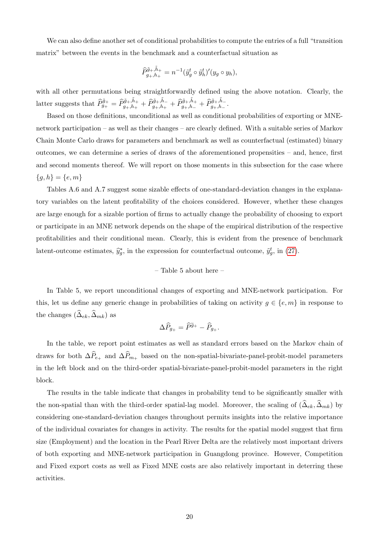We can also define another set of conditional probabilities to compute the entries of a full "transition" matrix" between the events in the benchmark and a counterfactual situation as

$$
\widehat{P}_{g_+,h_+}^{\tilde{g}_+, \tilde{h}_+} = n^{-1}(\tilde{y}_g^t \circ \tilde{y}_h^t)'(y_g \circ y_h),
$$

with all other permutations being straightforwardly defined using the above notation. Clearly, the latter suggests that  $\widehat{P}_{g_{+}}^{\tilde{g}_{+}} = \widehat{P}_{g_{+},h_{+}}^{\tilde{g}_{+},\tilde{h}_{-}} + \widehat{P}_{g_{+},h_{+}}^{\tilde{g}_{+},\tilde{h}_{-}} + \widehat{P}_{g_{+},h_{-}}^{\tilde{g}_{+},\tilde{h}_{-}}$ .

Based on those definitions, unconditional as well as conditional probabilities of exporting or MNEnetwork participation – as well as their changes – are clearly defined. With a suitable series of Markov Chain Monte Carlo draws for parameters and benchmark as well as counterfactual (estimated) binary outcomes, we can determine a series of draws of the aforementioned propensities – and, hence, first and second moments thereof. We will report on those moments in this subsection for the case where  ${g,h} = {e,m}$ 

Tables A.6 and A.7 suggest some sizable effects of one-standard-deviation changes in the explanatory variables on the latent profitability of the choices considered. However, whether these changes are large enough for a sizable portion of firms to actually change the probability of choosing to export or participate in an MNE network depends on the shape of the empirical distribution of the respective profitabilities and their conditional mean. Clearly, this is evident from the presence of benchmark latent-outcome estimates,  $\hat{y}_g^*$ , in the expression for counterfactual outcome,  $\tilde{y}_g^t$ , in [\(27\)](#page-21-1).

#### – Table 5 about here –

In Table 5, we report unconditional changes of exporting and MNE-network participation. For this, let us define any generic change in probabilities of taking on activity  $g \in \{e, m\}$  in response to the changes  $(\widehat{\Delta}_{ek}, \widehat{\Delta}_{mk})$  as

$$
\Delta \widehat{P}_{g_+} = \widehat{P}^{\widetilde{g}_+} - \widehat{P}_{g_+}.
$$

In the table, we report point estimates as well as standard errors based on the Markov chain of draws for both  $\Delta \widehat{P}_{e_+}$  and  $\Delta \widehat{P}_{m_+}$  based on the non-spatial-bivariate-panel-probit-model parameters in the left block and on the third-order spatial-bivariate-panel-probit-model parameters in the right block.

The results in the table indicate that changes in probability tend to be significantly smaller with the non-spatial than with the third-order spatial-lag model. Moreover, the scaling of  $(\widehat{\Delta}_{ek}, \widehat{\Delta}_{mk})$  by considering one-standard-deviation changes throughout permits insights into the relative importance of the individual covariates for changes in activity. The results for the spatial model suggest that firm size (Employment) and the location in the Pearl River Delta are the relatively most important drivers of both exporting and MNE-network participation in Guangdong province. However, Competition and Fixed export costs as well as Fixed MNE costs are also relatively important in deterring these activities.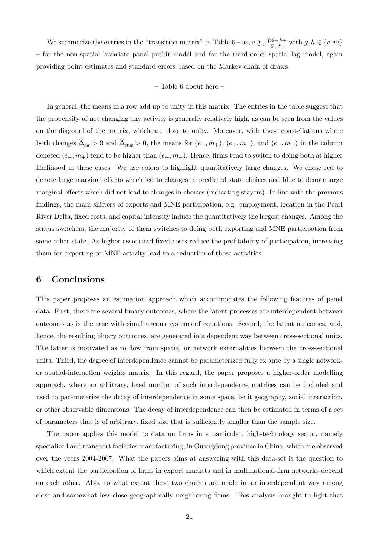We summarize the entries in the "transition matrix" in Table 6 – as, e.g.,  $\hat{P}_{g_+,h_+}^{\tilde{g}_+, \tilde{h}_+}$  with  $g, h \in \{e, m\}$ – for the non-spatial bivariate panel probit model and for the third-order spatial-lag model, again providing point estimates and standard errors based on the Markov chain of draws.

#### – Table 6 about here –

In general, the means in a row add up to unity in this matrix. The entries in the table suggest that the propensity of not changing any activity is generally relatively high, as can be seen from the values on the diagonal of the matrix, which are close to unity. Moreover, with those constellations where both changes  $\hat{\Delta}_{ek} > 0$  and  $\hat{\Delta}_{mk} > 0$ , the means for  $(e_+, m_+), (e_+, m_-),$  and  $(e_-, m_+)$  in the column denoted  $(\widetilde{e}_+,\widetilde{m}_+)$  tend to be higher than  $(e_-,m_-)$ . Hence, firms tend to switch to doing both at higher likelihood in these cases. We use colors to highlight quantitatively large changes. We chose red to denote large marginal effects which led to changes in predicted state choices and blue to denote large marginal effects which did not lead to changes in choices (indicating stayers). In line with the previous findings, the main shifters of exports and MNE participation, e.g. employment, location in the Pearl River Delta, fixed costs, and capital intensity induce the quantitatively the largest changes. Among the status switchers, the majority of them switches to doing both exporting and MNE participation from some other state. As higher associated fixed costs reduce the profitability of participation, increasing them for exporting or MNE activity lead to a reduction of those activities.

## 6 Conclusions

This paper proposes an estimation approach which accommodates the following features of panel data. First, there are several binary outcomes, where the latent processes are interdependent between outcomes as is the case with simultaneous systems of equations. Second, the latent outcomes, and, hence, the resulting binary outcomes, are generated in a dependent way between cross-sectional units. The latter is motivated as to flow from spatial or network externalities between the cross-sectional units. Third, the degree of interdependence cannot be parameterized fully ex ante by a single networkor spatial-interaction weights matrix. In this regard, the paper proposes a higher-order modelling approach, where an arbitrary, fixed number of such interdependence matrices can be included and used to parameterize the decay of interdependence in some space, be it geography, social interaction, or other observable dimensions. The decay of interdependence can then be estimated in terms of a set of parameters that is of arbitrary, fixed size that is sufficiently smaller than the sample size.

The paper applies this model to data on firms in a particular, high-technology sector, namely specialized and transport facilities manufacturing, in Guangdong province in China, which are observed over the years 2004-2007. What the papers aims at answering with this data-set is the question to which extent the participation of firms in export markets and in multinational-firm networks depend on each other. Also, to what extent these two choices are made in an interdependent way among close and somewhat less-close geographically neighboring firms. This analysis brought to light that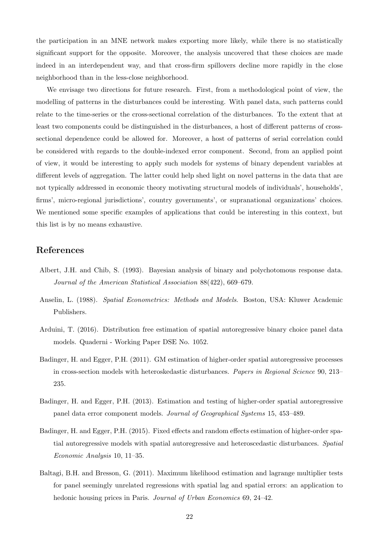the participation in an MNE network makes exporting more likely, while there is no statistically significant support for the opposite. Moreover, the analysis uncovered that these choices are made indeed in an interdependent way, and that cross-firm spillovers decline more rapidly in the close neighborhood than in the less-close neighborhood.

We envisage two directions for future research. First, from a methodological point of view, the modelling of patterns in the disturbances could be interesting. With panel data, such patterns could relate to the time-series or the cross-sectional correlation of the disturbances. To the extent that at least two components could be distinguished in the disturbances, a host of different patterns of crosssectional dependence could be allowed for. Moreover, a host of patterns of serial correlation could be considered with regards to the double-indexed error component. Second, from an applied point of view, it would be interesting to apply such models for systems of binary dependent variables at different levels of aggregation. The latter could help shed light on novel patterns in the data that are not typically addressed in economic theory motivating structural models of individuals', households', firms', micro-regional jurisdictions', country governments', or supranational organizations' choices. We mentioned some specific examples of applications that could be interesting in this context, but this list is by no means exhaustive.

## References

- Albert, J.H. and Chib, S. (1993). Bayesian analysis of binary and polychotomous response data. Journal of the American Statistical Association 88(422), 669–679.
- Anselin, L. (1988). Spatial Econometrics: Methods and Models. Boston, USA: Kluwer Academic Publishers.
- Arduini, T. (2016). Distribution free estimation of spatial autoregressive binary choice panel data models. Quaderni - Working Paper DSE No. 1052.
- Badinger, H. and Egger, P.H. (2011). GM estimation of higher-order spatial autoregressive processes in cross-section models with heteroskedastic disturbances. Papers in Regional Science 90, 213– 235.
- Badinger, H. and Egger, P.H. (2013). Estimation and testing of higher-order spatial autoregressive panel data error component models. Journal of Geographical Systems 15, 453–489.
- Badinger, H. and Egger, P.H. (2015). Fixed effects and random effects estimation of higher-order spatial autoregressive models with spatial autoregressive and heteroscedastic disturbances. Spatial Economic Analysis 10, 11–35.
- Baltagi, B.H. and Bresson, G. (2011). Maximum likelihood estimation and lagrange multiplier tests for panel seemingly unrelated regressions with spatial lag and spatial errors: an application to hedonic housing prices in Paris. Journal of Urban Economics 69, 24–42.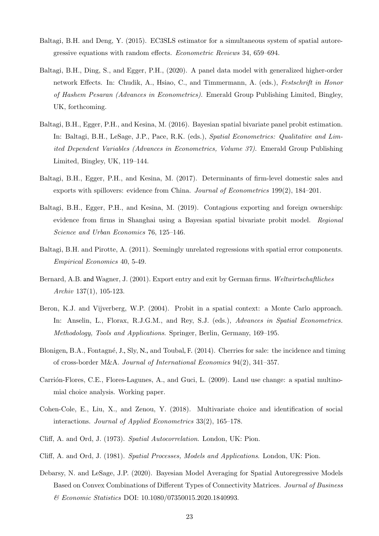- Baltagi, B.H. and Deng, Y. (2015). EC3SLS estimator for a simultaneous system of spatial autoregressive equations with random effects. Econometric Reviews 34, 659–694.
- Baltagi, B.H., Ding, S., and Egger, P.H., (2020). A panel data model with generalized higher-order network Effects. In: Chudik, A., Hsiao, C., and Timmermann, A. (eds.), Festschrift in Honor of Hashem Pesaran (Advances in Econometrics). Emerald Group Publishing Limited, Bingley, UK, forthcoming.
- Baltagi, B.H., Egger, P.H., and Kesina, M. (2016). Bayesian spatial bivariate panel probit estimation. In: Baltagi, B.H., LeSage, J.P., Pace, R.K. (eds.), Spatial Econometrics: Qualitative and Limited Dependent Variables (Advances in Econometrics, Volume 37). Emerald Group Publishing Limited, Bingley, UK, 119–144.
- Baltagi, B.H., Egger, P.H., and Kesina, M. (2017). Determinants of firm-level domestic sales and exports with spillovers: evidence from China. Journal of Econometrics 199(2), 184–201.
- Baltagi, B.H., Egger, P.H., and Kesina, M. (2019). Contagious exporting and foreign ownership: evidence from firms in Shanghai using a Bayesian spatial bivariate probit model. Regional Science and Urban Economics 76, 125–146.
- Baltagi, B.H. and Pirotte, A. (2011). Seemingly unrelated regressions with spatial error components. Empirical Economics 40, 5-49.
- Bernard, A.B. and Wagner, J. (2001). Export entry and exit by German firms. Weltwirtschaftliches Archiv 137(1), 105-123.
- Beron, K.J. and Vijverberg, W.P. (2004). Probit in a spatial context: a Monte Carlo approach. In: Anselin, L., Florax, R.J.G.M., and Rey, S.J. (eds.), Advances in Spatial Econometrics. Methodology, Tools and Applications. Springer, Berlin, Germany, 169–195.
- Blonigen, B.A., Fontagné, J., Sly, N., and Toubal, F. (2014). Cherries for sale: the incidence and timing of cross-border M&A. Journal of International Economics 94(2), 341–357.
- Carrión-Flores, C.E., Flores-Lagunes, A., and Guci, L. (2009). Land use change: a spatial multinomial choice analysis. Working paper.
- Cohen-Cole, E., Liu, X., and Zenou, Y. (2018). Multivariate choice and identification of social interactions. Journal of Applied Econometrics 33(2), 165–178.
- Cliff, A. and Ord, J. (1973). Spatial Autocorrelation. London, UK: Pion.
- Cliff, A. and Ord, J. (1981). Spatial Processes, Models and Applications. London, UK: Pion.
- Debarsy, N. and LeSage, J.P. (2020). Bayesian Model Averaging for Spatial Autoregressive Models Based on Convex Combinations of Different Types of Connectivity Matrices. Journal of Business & Economic Statistics DOI: 10.1080/07350015.2020.1840993.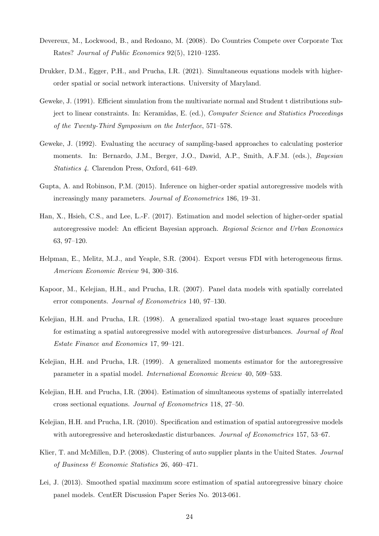- Devereux, M., Lockwood, B., and Redoano, M. (2008). Do Countries Compete over Corporate Tax Rates? Journal of Public Economics 92(5), 1210–1235.
- Drukker, D.M., Egger, P.H., and Prucha, I.R. (2021). Simultaneous equations models with higherorder spatial or social network interactions. University of Maryland.
- Geweke, J. (1991). Efficient simulation from the multivariate normal and Student t distributions subject to linear constraints. In: Keramidas, E. (ed.), Computer Science and Statistics Proceedings of the Twenty-Third Symposium on the Interface, 571–578.
- Geweke, J. (1992). Evaluating the accuracy of sampling-based approaches to calculating posterior moments. In: Bernardo, J.M., Berger, J.O., Dawid, A.P., Smith, A.F.M. (eds.), Bayesian Statistics 4. Clarendon Press, Oxford, 641–649.
- Gupta, A. and Robinson, P.M. (2015). Inference on higher-order spatial autoregressive models with increasingly many parameters. Journal of Econometrics 186, 19–31.
- Han, X., Hsieh, C.S., and Lee, L.-F. (2017). Estimation and model selection of higher-order spatial autoregressive model: An efficient Bayesian approach. Regional Science and Urban Economics 63, 97–120.
- Helpman, E., Melitz, M.J., and Yeaple, S.R. (2004). Export versus FDI with heterogeneous firms. American Economic Review 94, 300–316.
- Kapoor, M., Kelejian, H.H., and Prucha, I.R. (2007). Panel data models with spatially correlated error components. Journal of Econometrics 140, 97–130.
- Kelejian, H.H. and Prucha, I.R. (1998). A generalized spatial two-stage least squares procedure for estimating a spatial autoregressive model with autoregressive disturbances. Journal of Real Estate Finance and Economics 17, 99–121.
- Kelejian, H.H. and Prucha, I.R. (1999). A generalized moments estimator for the autoregressive parameter in a spatial model. International Economic Review 40, 509–533.
- Kelejian, H.H. and Prucha, I.R. (2004). Estimation of simultaneous systems of spatially interrelated cross sectional equations. Journal of Econometrics 118, 27–50.
- Kelejian, H.H. and Prucha, I.R. (2010). Specification and estimation of spatial autoregressive models with autoregressive and heteroskedastic disturbances. *Journal of Econometrics* 157, 53–67.
- Klier, T. and McMillen, D.P. (2008). Clustering of auto supplier plants in the United States. Journal of Business & Economic Statistics 26, 460–471.
- Lei, J. (2013). Smoothed spatial maximum score estimation of spatial autoregressive binary choice panel models. CentER Discussion Paper Series No. 2013-061.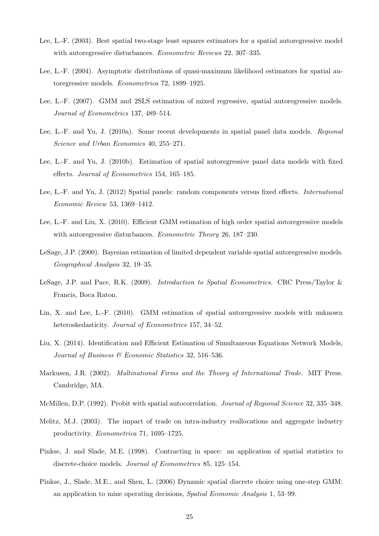- Lee, L.-F. (2003). Best spatial two-stage least squares estimators for a spatial autoregressive model with autoregressive disturbances. *Econometric Reviews* 22, 307–335.
- Lee, L.-F. (2004). Asymptotic distributions of quasi-maximum likelihood estimators for spatial autoregressive models. Econometrica 72, 1899–1925.
- Lee, L.-F. (2007). GMM and 2SLS estimation of mixed regressive, spatial autoregressive models. Journal of Econometrics 137, 489–514.
- Lee, L.-F. and Yu, J. (2010a). Some recent developments in spatial panel data models. Regional Science and Urban Economics 40, 255–271.
- Lee, L.-F. and Yu, J. (2010b). Estimation of spatial autoregressive panel data models with fixed effects. Journal of Econometrics 154, 165–185.
- Lee, L.-F. and Yu, J. (2012) Spatial panels: random components versus fixed effects. International Economic Review 53, 1369–1412.
- Lee, L.-F. and Liu, X. (2010). Efficient GMM estimation of high order spatial autoregressive models with autoregressive disturbances. *Econometric Theory* 26, 187–230.
- LeSage, J.P. (2000). Bayesian estimation of limited dependent variable spatial autoregressive models. Geographical Analysis 32, 19–35.
- LeSage, J.P. and Pace, R.K. (2009). Introduction to Spatial Econometrics. CRC Press/Taylor & Francis, Boca Raton.
- Lin, X. and Lee, L.-F. (2010). GMM estimation of spatial autoregressive models with unknown heteroskedasticity. *Journal of Econometrics* 157, 34–52.
- Liu, X. (2014). Identification and Efficient Estimation of Simultaneous Equations Network Models, Journal of Business & Economic Statistics 32, 516–536.
- Markusen, J.R. (2002). Multinational Firms and the Theory of International Trade. MIT Press. Cambridge, MA.
- McMillen, D.P. (1992). Probit with spatial autocorrelation. Journal of Regional Science 32, 335–348.
- Melitz, M.J. (2003). The impact of trade on intra-industry reallocations and aggregate industry productivity. Econometrica 71, 1695–1725.
- Pinkse, J. and Slade, M.E. (1998). Contracting in space: an application of spatial statistics to discrete-choice models. Journal of Econometrics 85, 125–154.
- Pinkse, J., Slade, M.E., and Shen, L. (2006) Dynamic spatial discrete choice using one-step GMM: an application to mine operating decisions, Spatial Economic Analysis 1, 53–99.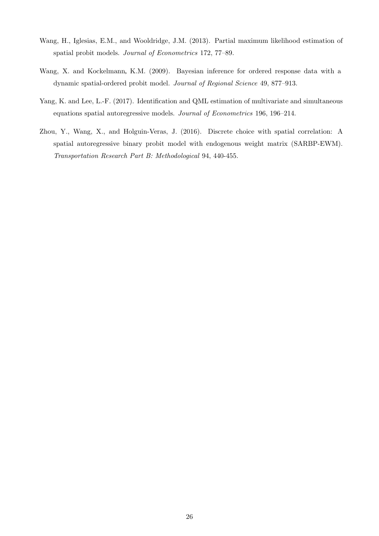- Wang, H., Iglesias, E.M., and Wooldridge, J.M. (2013). Partial maximum likelihood estimation of spatial probit models. Journal of Econometrics 172, 77–89.
- Wang, X. and Kockelmann, K.M. (2009). Bayesian inference for ordered response data with a dynamic spatial-ordered probit model. Journal of Regional Science 49, 877–913.
- Yang, K. and Lee, L.-F. (2017). Identification and QML estimation of multivariate and simultaneous equations spatial autoregressive models. Journal of Econometrics 196, 196–214.
- Zhou, Y., Wang, X., and Holguin-Veras, J. (2016). Discrete choice with spatial correlation: A spatial autoregressive binary probit model with endogenous weight matrix (SARBP-EWM). Transportation Research Part B: Methodological 94, 440-455.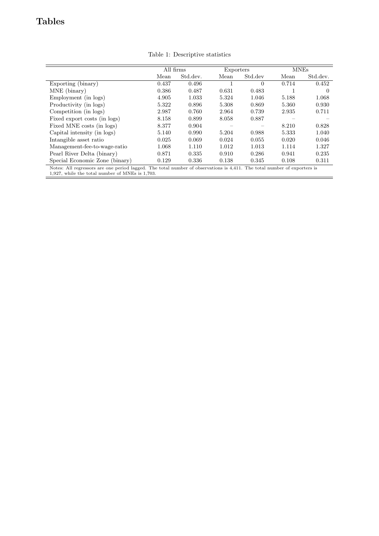## Tables

|                                                                                                                                                                             | All firms |          | Exporters |          | <b>MNEs</b> |          |  |
|-----------------------------------------------------------------------------------------------------------------------------------------------------------------------------|-----------|----------|-----------|----------|-------------|----------|--|
|                                                                                                                                                                             | Mean      | Std.dev. | Mean      | Std.dev  | Mean        | Std.dev. |  |
| Exporting (binary)                                                                                                                                                          | 0.437     | 0.496    |           | $\Omega$ | 0.714       | 0.452    |  |
| MNE (binary)                                                                                                                                                                | 0.386     | 0.487    | 0.631     | 0.483    |             | $\theta$ |  |
| Employment (in logs)                                                                                                                                                        | 4.905     | 1.033    | 5.324     | 1.046    | 5.188       | 1.068    |  |
| Productivity (in logs)                                                                                                                                                      | 5.322     | 0.896    | 5.308     | 0.869    | 5.360       | 0.930    |  |
| Competition (in logs)                                                                                                                                                       | 2.987     | 0.760    | 2.964     | 0.739    | 2.935       | 0.711    |  |
| Fixed export costs (in logs)                                                                                                                                                | 8.158     | 0.899    | 8.058     | 0.887    |             |          |  |
| Fixed MNE costs (in logs)                                                                                                                                                   | 8.377     | 0.904    |           |          | 8.210       | 0.828    |  |
| Capital intensity (in logs)                                                                                                                                                 | 5.140     | 0.990    | 5.204     | 0.988    | 5.333       | 1.040    |  |
| Intangible asset ratio                                                                                                                                                      | 0.025     | 0.069    | 0.024     | 0.055    | 0.020       | 0.046    |  |
| Management-fee-to-wage-ratio                                                                                                                                                | 1.068     | 1.110    | 1.012     | 1.013    | 1.114       | 1.327    |  |
| Pearl River Delta (binary)                                                                                                                                                  | 0.871     | 0.335    | 0.910     | 0.286    | 0.941       | 0.235    |  |
| Special Economic Zone (binary)                                                                                                                                              | 0.129     | 0.336    | 0.138     | 0.345    | 0.108       | 0.311    |  |
| Notes: All regressors are one period lagged. The total number of observations is 4,411. The total number of exporters is<br>1,927, while the total number of MNEs is 1,703. |           |          |           |          |             |          |  |

Table 1: Descriptive statistics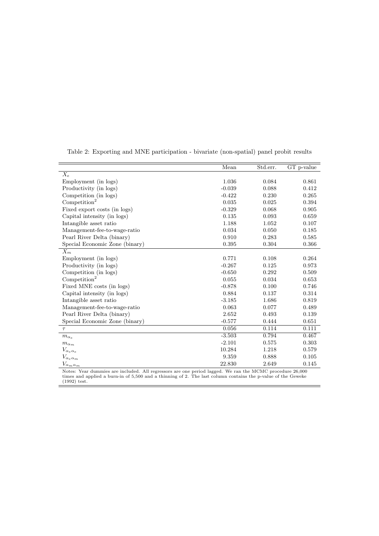|                                                                                                          | Mean     | Std.err. | GT p-value |
|----------------------------------------------------------------------------------------------------------|----------|----------|------------|
| $\overline{X_e}$                                                                                         |          |          |            |
| Employment (in logs)                                                                                     | 1.036    | 0.084    | 0.861      |
| Productivity (in logs)                                                                                   | $-0.039$ | 0.088    | 0.412      |
| Competition (in logs)                                                                                    | $-0.422$ | 0.230    | 0.265      |
| Competition <sup>2</sup>                                                                                 | 0.035    | 0.025    | 0.394      |
| Fixed export costs (in logs)                                                                             | $-0.329$ | 0.068    | 0.905      |
| Capital intensity (in logs)                                                                              | 0.135    | 0.093    | 0.659      |
| Intangible asset ratio                                                                                   | 1.188    | 1.052    | 0.107      |
| Management-fee-to-wage-ratio                                                                             | 0.034    | 0.050    | 0.185      |
| Pearl River Delta (binary)                                                                               | 0.910    | 0.283    | 0.585      |
| Special Economic Zone (binary)                                                                           | 0.395    | 0.304    | 0.366      |
| $X_m$                                                                                                    |          |          |            |
| Employment (in logs)                                                                                     | 0.771    | 0.108    | 0.264      |
| Productivity (in logs)                                                                                   | $-0.267$ | 0.125    | 0.973      |
| Competition (in logs)                                                                                    | $-0.650$ | 0.292    | 0.509      |
| Competition <sup>2</sup>                                                                                 | 0.055    | 0.034    | 0.653      |
| Fixed MNE costs (in logs)                                                                                | $-0.878$ | 0.100    | 0.746      |
| Capital intensity (in logs)                                                                              | 0.884    | 0.137    | 0.314      |
| Intangible asset ratio                                                                                   | $-3.185$ | 1.686    | 0.819      |
| Management-fee-to-wage-ratio                                                                             | 0.063    | 0.077    | 0.489      |
| Pearl River Delta (binary)                                                                               | 2.652    | 0.493    | 0.139      |
| Special Economic Zone (binary)                                                                           | $-0.577$ | 0.444    | 0.651      |
| $\tau$                                                                                                   | 0.056    | 0.114    | 0.111      |
| $m_{\alpha_e}$                                                                                           | $-3.503$ | 0.794    | 0.467      |
| $m_{\alpha_m}$                                                                                           | $-2.101$ | 0.575    | 0.303      |
| $V_{\alpha_e \alpha_e}$                                                                                  | 10.284   | 1.218    | 0.579      |
| $V_{\alpha_e \alpha_m}$                                                                                  | 9.359    | 0.888    | 0.105      |
| $V_{\alpha_m\alpha_m}$                                                                                   | 22.830   | 2.649    | 0.145      |
| Notes: Year dummies are included. All regressors are one period lagged. We ran the MCMC procedure 26,000 |          |          |            |

Table 2: Exporting and MNE participation - bivariate (non-spatial) panel probit results

Notes: Year dummies are included. All regressors are one period lagged. We ran the MCMC procedure 26,000 times and applied a burn-in of 5,500 and a thinning of 2. The last column contains the p-value of the Geweke<br>(1992) t

 $=$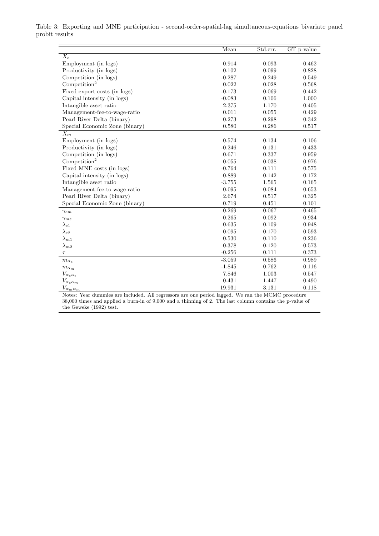|                                     | Mean     | Std.err. | GT p-value |
|-------------------------------------|----------|----------|------------|
| $X_e$                               |          |          |            |
| Employment (in logs)                | 0.914    | 0.093    | 0.462      |
| Productivity (in logs)              | 0.102    | 0.099    | 0.828      |
| Competition (in logs)               | $-0.287$ | 0.249    | 0.549      |
| Competition <sup>2</sup>            | 0.022    | 0.028    | 0.568      |
| Fixed export costs (in logs)        | $-0.173$ | 0.069    | 0.442      |
| Capital intensity (in logs)         | $-0.083$ | 0.106    | 1.000      |
| Intangible asset ratio              | 2.375    | 1.170    | 0.405      |
| Management-fee-to-wage-ratio        | 0.011    | 0.055    | 0.429      |
| Pearl River Delta (binary)          | 0.273    | 0.298    | 0.342      |
| Special Economic Zone (binary)      | 0.580    | 0.286    | 0.517      |
| $X_m$                               |          |          |            |
| Employment (in logs)                | 0.574    | 0.134    | 0.106      |
| Productivity (in logs)              | $-0.246$ | 0.131    | 0.433      |
| Competition (in logs)               | $-0.671$ | 0.337    | 0.959      |
| Competition <sup>2</sup>            | 0.055    | 0.038    | 0.976      |
| Fixed MNE costs (in logs)           | $-0.764$ | 0.111    | 0.575      |
| Capital intensity (in logs)         | 0.889    | 0.142    | 0.172      |
| Intangible asset ratio              | $-3.755$ | 1.565    | 0.165      |
| Management-fee-to-wage-ratio        | 0.095    | 0.084    | 0.653      |
| Pearl River Delta (binary)          | 2.674    | 0.517    | 0.325      |
| Special Economic Zone (binary)      | $-0.719$ | 0.451    | 0.101      |
| $\gamma_{em}$                       | 0.269    | 0.067    | 0.465      |
| $\gamma_{me}$                       | 0.265    | 0.092    | 0.934      |
| $\lambda_{e1}$                      | 0.635    | 0.109    | 0.948      |
| $\lambda_{e2}$                      | 0.095    | 0.170    | 0.593      |
| $\lambda_{m1}$                      | 0.530    | 0.110    | 0.236      |
| $\lambda_{m2}$                      | 0.378    | 0.120    | 0.573      |
| $\tau$                              | $-0.256$ | 0.111    | 0.373      |
| $m_{\alpha_e}$                      | $-3.059$ | 0.586    | 0.989      |
| $m_{\alpha_m}$                      | $-1.845$ | 0.762    | 0.116      |
| $V_{\alpha_e \alpha_e}$             | 7.846    | 1.003    | 0.547      |
| $V_{\alpha_e \alpha_m}$             | 0.431    | 1.447    | 0.490      |
| $V_{\alpha_m \underline{\alpha_m}}$ | 19.931   | 3.131    | 0.118      |

Table 3: Exporting and MNE participation - second-order-spatial-lag simultaneous-equations bivariate panel probit results

Notes: Year dummies are included. All regressors are one period lagged. We ran the MCMC procedure 38,000 times and applied a burn-in of 9,000 and a thinning of 2. The last column contains the p-value of the Geweke (1992) test.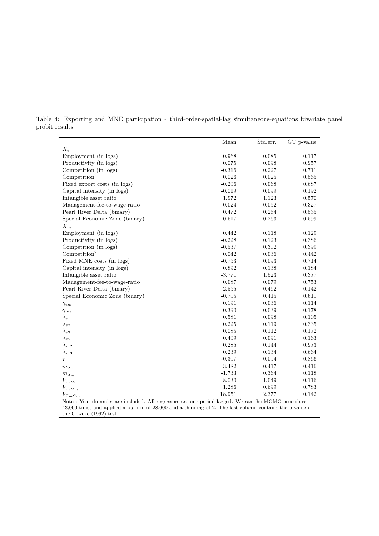|                                     | Mean     | Std.err.    | $\overline{GT}$ p-value |
|-------------------------------------|----------|-------------|-------------------------|
| $\overline{X_e}$                    |          |             |                         |
| Employment (in logs)                | 0.968    | 0.085       | 0.117                   |
| Productivity (in logs)              | 0.075    | 0.098       | $\rm 0.957$             |
| Competition (in logs)               | $-0.316$ | 0.227       | 0.711                   |
| Competition <sup>2</sup>            | 0.026    | 0.025       | 0.565                   |
| Fixed export costs (in logs)        | $-0.206$ | 0.068       | 0.687                   |
| Capital intensity (in logs)         | $-0.019$ | 0.099       | 0.192                   |
| Intangible asset ratio              | 1.972    | 1.123       | 0.570                   |
| Management-fee-to-wage-ratio        | 0.024    | 0.052       | 0.327                   |
| Pearl River Delta (binary)          | 0.472    | 0.264       | $\,0.535\,$             |
| Special Economic Zone (binary)      | 0.517    | 0.263       | 0.599                   |
| $X_m$                               |          |             |                         |
| Employment (in logs)                | 0.442    | 0.118       | 0.129                   |
| Productivity (in logs)              | $-0.228$ | 0.123       | 0.386                   |
| Competition (in logs)               | $-0.537$ | 0.302       | 0.399                   |
| Competition <sup>2</sup>            | 0.042    | 0.036       | 0.442                   |
| Fixed MNE costs (in logs)           | $-0.753$ | 0.093       | 0.714                   |
| Capital intensity (in logs)         | 0.892    | 0.138       | 0.184                   |
| Intangible asset ratio              | $-3.771$ | $1.523\,$   | $0.377\,$               |
| Management-fee-to-wage-ratio        | 0.087    | 0.079       | 0.753                   |
| Pearl River Delta (binary)          | 2.555    | 0.462       | 0.142                   |
| Special Economic Zone (binary)      | $-0.705$ | 0.415       | 0.611                   |
| $\gamma_{em}$                       | 0.191    | 0.036       | 0.114                   |
| $\gamma_{me}$                       | 0.390    | 0.039       | 0.178                   |
| $\lambda_{e1}$                      | 0.581    | 0.098       | $0.105\,$               |
| $\lambda_{e2}$                      | 0.225    | 0.119       | 0.335                   |
| $\lambda_{e3}$                      | 0.085    | 0.112       | 0.172                   |
| $\lambda_{m1}$                      | 0.409    | 0.091       | $\,0.163\,$             |
| $\lambda_{m2}$                      | 0.285    | 0.144       | 0.973                   |
| $\lambda_{m3}$                      | 0.239    | 0.134       | 0.664                   |
| $\tau$                              | $-0.307$ | $\,0.094\,$ | $\,0.866\,$             |
| $m_{\alpha_e}$                      | $-3.482$ | 0.417       | 0.416                   |
| $m_{\alpha_m}$                      | $-1.733$ | 0.364       | 0.118                   |
| $V_{\alpha_e \alpha_e}$             | 8.030    | 1.049       | 0.116                   |
| $V_{\alpha_e \alpha_m}$             | 1.286    | 0.699       | 0.783                   |
| $V_{\alpha_m \underline{\alpha_m}}$ | 18.951   | 2.377       | 0.142                   |

Table 4: Exporting and MNE participation - third-order-spatial-lag simultaneous-equations bivariate panel probit results

Notes: Year dummies are included. All regressors are one period lagged. We ran the MCMC procedure 43,000 times and applied a burn-in of 28,000 and a thinning of 2. The last column contains the p-value of the Geweke (1992) test.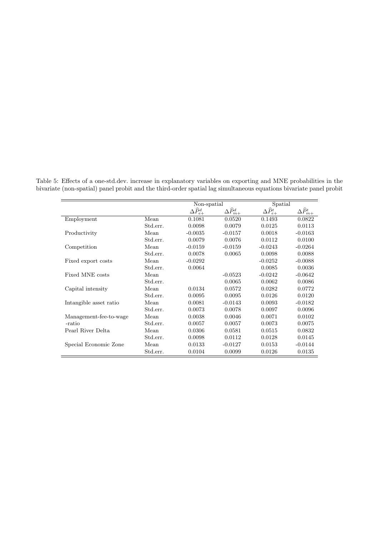|                        |          | Non-spatial                   |                               | Spatial                       |                             |
|------------------------|----------|-------------------------------|-------------------------------|-------------------------------|-----------------------------|
|                        |          | $\Delta \widehat{P}_{e+}^{d}$ | $\Delta \widehat{P}_{m+}^{d}$ | $\Delta \widehat{P}_{e+}^{t}$ | $\Delta \widehat{P}_{m+}^t$ |
| Employment             | Mean     | 0.1081                        | 0.0520                        | 0.1493                        | 0.0822                      |
|                        | Std.err. | 0.0098                        | 0.0079                        | 0.0125                        | 0.0113                      |
| Productivity           | Mean     | $-0.0035$                     | $-0.0157$                     | 0.0018                        | $-0.0163$                   |
|                        | Std.err. | 0.0079                        | 0.0076                        | 0.0112                        | 0.0100                      |
| Competition            | Mean     | $-0.0159$                     | $-0.0159$                     | $-0.0243$                     | $-0.0264$                   |
|                        | Std.err. | 0.0078                        | 0.0065                        | 0.0098                        | 0.0088                      |
| Fixed export costs     | Mean     | $-0.0292$                     |                               | $-0.0252$                     | $-0.0088$                   |
|                        | Std.err. | 0.0064                        |                               | 0.0085                        | 0.0036                      |
| Fixed MNE costs        | Mean     |                               | $-0.0523$                     | $-0.0242$                     | $-0.0642$                   |
|                        | Std.err. |                               | 0.0065                        | 0.0062                        | 0.0086                      |
| Capital intensity      | Mean     | 0.0134                        | 0.0572                        | 0.0282                        | 0.0772                      |
|                        | Std.err. | 0.0095                        | 0.0095                        | 0.0126                        | 0.0120                      |
| Intangible asset ratio | Mean     | 0.0081                        | $-0.0143$                     | 0.0093                        | $-0.0182$                   |
|                        | Std.err. | 0.0073                        | 0.0078                        | 0.0097                        | 0.0096                      |
| Management-fee-to-wage | Mean     | 0.0038                        | 0.0046                        | 0.0071                        | 0.0102                      |
| -ratio                 | Std.err. | 0.0057                        | 0.0057                        | 0.0073                        | 0.0075                      |
| Pearl River Delta      | Mean     | 0.0306                        | 0.0581                        | 0.0515                        | 0.0832                      |
|                        | Std.err. | 0.0098                        | 0.0112                        | 0.0128                        | 0.0145                      |
| Special Economic Zone  | Mean     | 0.0133                        | $-0.0127$                     | 0.0153                        | $-0.0144$                   |
|                        | Std.err. | 0.0104                        | 0.0099                        | 0.0126                        | 0.0135                      |

Table 5: Effects of a one-std.dev. increase in explanatory variables on exporting and MNE probabilities in the bivariate (non-spatial) panel probit and the third-order spatial lag simultaneous equations bivariate panel probit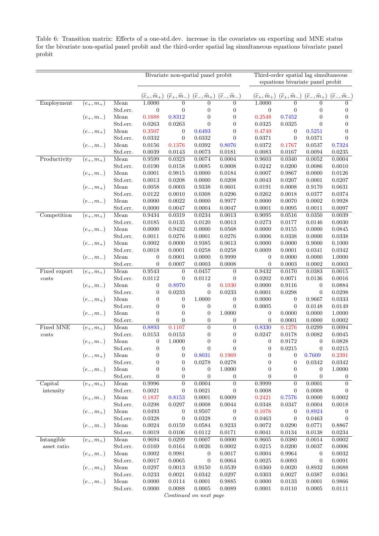Table 6: Transition matrix: Effects of a one-std.dev. increase in the covariates on exporting and MNE status for the bivariate non-spatial panel probit and the third-order spatial lag simultaneous equations bivariate panel probit

|                                 |                                                                     |                  | Bivariate non-spatial panel probit   |                                                                                                         |                  |                              |                        | Third-order spatial lag simultaneous<br>equations bivariate panel probit                                                                        |                  |                        |  |
|---------------------------------|---------------------------------------------------------------------|------------------|--------------------------------------|---------------------------------------------------------------------------------------------------------|------------------|------------------------------|------------------------|-------------------------------------------------------------------------------------------------------------------------------------------------|------------------|------------------------|--|
|                                 |                                                                     |                  |                                      |                                                                                                         |                  |                              |                        |                                                                                                                                                 |                  |                        |  |
|                                 |                                                                     |                  | $(\widetilde{e}_+, \widetilde{m}_+)$ | $(\widetilde{e}_+,\widetilde{m}_-) (\widetilde{e}_-,\widetilde{m}_+) (\widetilde{e}_-,\widetilde{m}_-)$ |                  |                              |                        | $(\widetilde{e}_+,\widetilde{m}_+)$ $(\widetilde{e}_+,\widetilde{m}_-)$ $(\widetilde{e}_-,\widetilde{m}_+)$ $(\widetilde{e}_-,\widetilde{m}_-)$ |                  |                        |  |
| Employment                      | $(e_{+}, m_{+})$                                                    | Mean             | 1.0000                               | $\overline{0}$                                                                                          | $\overline{0}$   | $\overline{0}$               | 1.0000                 | $\overline{0}$                                                                                                                                  | $\overline{0}$   | $\Omega$               |  |
|                                 |                                                                     | Std.err.         | $\overline{0}$                       | $\overline{0}$                                                                                          | $\boldsymbol{0}$ | $\boldsymbol{0}$             | $\overline{0}$         | $\overline{0}$                                                                                                                                  | $\boldsymbol{0}$ | $\overline{0}$         |  |
|                                 | $\begin{aligned} (e_+,m_-) \\ (e_-,m_+) \\ (e_-,m_-) \end{aligned}$ | Mean             | 0.1688                               | 0.8312                                                                                                  | $\boldsymbol{0}$ | $\boldsymbol{0}$             | 0.2548                 | 0.7452                                                                                                                                          | $\overline{0}$   | $\boldsymbol{0}$       |  |
|                                 |                                                                     | Std.err.         | 0.0263                               | 0.0263                                                                                                  | $\theta$         | $\theta$                     | 0.0325                 | 0.0325                                                                                                                                          | $\overline{0}$   | $\overline{0}$         |  |
|                                 |                                                                     | Mean             | 0.3507                               | $\mathbf{0}$                                                                                            | 0.6493           | $\boldsymbol{0}$             | 0.4749                 | 0                                                                                                                                               | 0.5251           | $\overline{0}$         |  |
|                                 |                                                                     | Std.err.         | 0.0332                               | $\boldsymbol{0}$                                                                                        | 0.0332           | $\theta$                     | 0.0371                 | $\boldsymbol{0}$                                                                                                                                | 0.0371           | $\boldsymbol{0}$       |  |
|                                 |                                                                     | Mean             | 0.0156                               | 0.1376                                                                                                  | 0.0392           | 0.8076                       | 0.0372                 | 0.1767                                                                                                                                          | 0.0537           | 0.7324                 |  |
|                                 | $\overline{(e_+,m_+)}$                                              | Std.err.         | 0.0039                               | 0.0143                                                                                                  | 0.0073           | 0.0181                       | 0.0083                 | 0.0167<br>0.0340                                                                                                                                | 0.0094<br>0.0052 | 0.0235                 |  |
| Productivity                    |                                                                     | Mean<br>Std.err. | 0.9599<br>0.0190                     | 0.0323<br>0.0158                                                                                        | 0.0074<br>0.0085 | 0.0004<br>0.0008             | 0.9603<br>$\,0.0242\,$ | 0.0200                                                                                                                                          | 0.0086           | 0.0004<br>0.0010       |  |
|                                 |                                                                     | Mean             | 0.0001                               | 0.9815                                                                                                  | 0.0000           | 0.0184                       | 0.0007                 | 0.9867                                                                                                                                          | 0.0000           | 0.0126                 |  |
|                                 | $(e_+, m_-)$                                                        | Std.err.         | 0.0013                               | 0.0208                                                                                                  | 0.0000           | 0.0208                       | 0.0043                 | 0.0207                                                                                                                                          | 0.0001           | 0.0207                 |  |
|                                 |                                                                     | Mean             | 0.0058                               | 0.0003                                                                                                  | 0.9338           | 0.0601                       | 0.0191                 | 0.0008                                                                                                                                          | 0.9170           | 0.0631                 |  |
|                                 |                                                                     | Std.err.         | 0.0122                               | 0.0010                                                                                                  | 0.0308           | 0.0296                       | 0.0262                 | 0.0018                                                                                                                                          | 0.0377           | 0.0374                 |  |
|                                 | $(e_-,m_+)$ $(e_-,m_-)$                                             | Mean             | 0.0000                               | 0.0022                                                                                                  | 0.0000           | 0.9977                       | 0.0000                 | 0.0070                                                                                                                                          | 0.0002           | 0.9928                 |  |
|                                 |                                                                     | Std.err.         | 0.0000                               | 0.0047                                                                                                  | 0.0004           | 0.0047                       | 0.0001                 | 0.0095                                                                                                                                          | 0.0011           | 0.0097                 |  |
| $\overline{\text{Competition}}$ | $\overline{(e_+,m_+)}$                                              | Mean             | 0.9434                               | 0.0319                                                                                                  | 0.0234           | 0.0013                       | 0.9095                 | 0.0516                                                                                                                                          | 0.0350           | 0.0039                 |  |
|                                 |                                                                     | Std.err.         | 0.0185                               | 0.0135                                                                                                  | 0.0120           | 0.0013                       | 0.0273                 | 0.0177                                                                                                                                          | 0.0146           | 0.0030                 |  |
|                                 |                                                                     | Mean             | 0.0000                               | 0.9432                                                                                                  | 0.0000           | 0.0568                       | 0.0000                 | 0.9155                                                                                                                                          | 0.0000           | 0.0845                 |  |
|                                 | $(e_+,m_-)$ $(e_-,m_+)$                                             | Std.err.         | 0.0011                               | 0.0276                                                                                                  | 0.0001           | 0.0276                       | 0.0006                 | 0.0338                                                                                                                                          | 0.0000           | 0.0338                 |  |
|                                 |                                                                     | Mean             | 0.0002                               | 0.0000                                                                                                  | 0.9385           | 0.0613                       | 0.0000                 | 0.0000                                                                                                                                          | 0.9000           | 0.1000                 |  |
|                                 |                                                                     | Std.err.         | 0.0018                               | 0.0001                                                                                                  | 0.0258           | 0.0258                       | 0.0009                 | 0.0001                                                                                                                                          | 0.0341           | 0.0342                 |  |
|                                 | $(e_-, m_-)$                                                        | Mean             | $\overline{0}$                       | 0.0001                                                                                                  | 0.0000           | 0.9999                       | $\mathbf{0}$           | 0.0000                                                                                                                                          | 0.0000           | 1.0000                 |  |
|                                 |                                                                     | Std.err.         | $\boldsymbol{0}$                     | 0.0007                                                                                                  | 0.0003           | 0.0008                       | $\boldsymbol{0}$       | 0.0003                                                                                                                                          | 0.0002           | 0.0003                 |  |
| Fixed export                    | $\overline{(e_+,m_+)}$                                              | Mean             | 0.9543                               | $\overline{0}$                                                                                          | 0.0457           | $\overline{0}$               | 0.9432                 | 0.0170                                                                                                                                          | 0.0383           | 0.0015                 |  |
| costs                           |                                                                     | Std.err.         | 0.0112                               | $\overline{0}$                                                                                          | 0.0112           | $\theta$                     | 0.0202                 | 0.0071                                                                                                                                          | 0.0136           | 0.0016                 |  |
|                                 |                                                                     | Mean             | $\boldsymbol{0}$                     | 0.8970                                                                                                  | $\boldsymbol{0}$ | 0.1030                       | 0.0000                 | 0.9116                                                                                                                                          | $\boldsymbol{0}$ | 0.0884                 |  |
|                                 | $\begin{aligned} (e_+,m_-) \\ (e_-,m_+) \\ (e_-,m_-) \end{aligned}$ | Std.err.         | $\boldsymbol{0}$                     | 0.0233                                                                                                  | $\boldsymbol{0}$ | 0.0233                       | 0.0001                 | 0.0298                                                                                                                                          | $\boldsymbol{0}$ | 0.0298                 |  |
|                                 |                                                                     | Mean<br>Std.err. | $\overline{0}$<br>$\boldsymbol{0}$   | $\mathbf{0}$<br>$\mathbf{0}$                                                                            | 1.0000<br>0      | $\mathbf{0}$<br>$\mathbf{0}$ | 0.0000<br>0.0005       | $\boldsymbol{0}$<br>$\overline{0}$                                                                                                              | 0.9667<br>0.0148 | 0.0333<br>0.0149       |  |
|                                 |                                                                     | Mean             | $\boldsymbol{0}$                     | $\boldsymbol{0}$                                                                                        | $\boldsymbol{0}$ | 1.0000                       | $\boldsymbol{0}$       | 0.0000                                                                                                                                          | 0.0000           | 1.0000                 |  |
|                                 |                                                                     | Std.err.         | $\overline{0}$                       | $\boldsymbol{0}$                                                                                        | $\boldsymbol{0}$ | $\boldsymbol{0}$             | $\overline{0}$         | 0.0001                                                                                                                                          | 0.0000           | 0.0002                 |  |
| <b>Fixed MNE</b>                | $\overline{(e_{+},m_{+})}$                                          | Mean             | 0.8893                               | 0.1107                                                                                                  | $\overline{0}$   | $\overline{0}$               | 0.8330                 | 0.1276                                                                                                                                          | 0.0299           | 0.0094                 |  |
| costs                           |                                                                     | Std.err.         | 0.0153                               | 0.0153                                                                                                  | $\boldsymbol{0}$ | $\boldsymbol{0}$             | 0.0247                 | 0.0178                                                                                                                                          | 0.0082           | 0.0045                 |  |
|                                 | $(e_{+}, m_{-})$                                                    | Mean             | $\overline{0}$                       | 1.0000                                                                                                  | $\boldsymbol{0}$ | $\overline{0}$               | 0                      | 0.9172                                                                                                                                          | $\boldsymbol{0}$ | 0.0828                 |  |
|                                 |                                                                     | Std.err.         | $\overline{0}$                       | $\boldsymbol{0}$                                                                                        | $\boldsymbol{0}$ | $\overline{0}$               | $\boldsymbol{0}$       | 0.0215                                                                                                                                          | $\mathbf{0}$     | 0.0215                 |  |
|                                 | $(e_-, m_+)$                                                        | Mean             | $\overline{0}$                       | $\boldsymbol{0}$                                                                                        | 0.8031           | 0.1969                       | $\boldsymbol{0}$       | $\boldsymbol{0}$                                                                                                                                | 0.7609           | 0.2391                 |  |
|                                 |                                                                     | Std.err.         | $\boldsymbol{0}$                     | $\boldsymbol{0}$                                                                                        | 0.0278           | 0.0278                       | $\boldsymbol{0}$       | $\boldsymbol{0}$                                                                                                                                | 0.0342           | 0.0342                 |  |
|                                 | $(e_-, m_-)$                                                        | Mean             | $\boldsymbol{0}$                     | $\boldsymbol{0}$                                                                                        | $\boldsymbol{0}$ | 1.0000                       | $\boldsymbol{0}$       | $\boldsymbol{0}$                                                                                                                                | $\boldsymbol{0}$ | 1.0000                 |  |
|                                 |                                                                     | Std.err.         | $\theta$                             | $\boldsymbol{0}$                                                                                        | $\overline{0}$   | $\boldsymbol{0}$             | $\overline{0}$         | $\boldsymbol{0}$                                                                                                                                | $\mathbf{0}$     | $\overline{0}$         |  |
| Capital                         | $\overline{(e_{+},m_{+})}$                                          | Mean             | 0.9996                               | $\overline{0}$                                                                                          | 0.0004           | $\boldsymbol{0}$             | 0.9999                 | $\boldsymbol{0}$                                                                                                                                | 0.0001           | $\overline{0}$         |  |
| intensity                       |                                                                     | Std.err.         | 0.0021                               | $\mathbf{0}$                                                                                            | 0.0021           | $\mathbf{0}$                 | 0.0008                 | 0                                                                                                                                               | 0.0008           | $\theta$               |  |
|                                 | $(e_{+}, m_{-})$<br>$(e_{-}, m_{+})$<br>$(e_{-}, m_{-})$            | Mean             | 0.1837                               | 0.8153                                                                                                  | 0.0001           | 0.0009                       | 0.2421                 | 0.7576                                                                                                                                          | 0.0000           | 0.0002                 |  |
|                                 |                                                                     | Std.err.         | 0.0298                               | 0.0297                                                                                                  | 0.0008           | 0.0044                       | 0.0348                 | 0.0347                                                                                                                                          | 0.0004           | 0.0018                 |  |
|                                 |                                                                     | Mean             | 0.0493                               | $\mathbf{0}$                                                                                            | 0.9507           | $\boldsymbol{0}$             | 0.1076                 | $\boldsymbol{0}$                                                                                                                                | 0.8924           | $\overline{0}$         |  |
|                                 |                                                                     | Std.err.         | 0.0328                               | $\boldsymbol{0}$                                                                                        | 0.0328           | $\boldsymbol{0}$             | 0.0463                 | $\boldsymbol{0}$                                                                                                                                | 0.0463           | $\boldsymbol{0}$       |  |
|                                 |                                                                     | Mean<br>Std.err. | 0.0024<br>0.0019                     | 0.0159<br>0.0106                                                                                        | 0.0584<br>0.0112 | 0.9233<br>0.0171             | $0.0072\,$<br>0.0041   | 0.0290<br>0.0134                                                                                                                                | 0.0771<br>0.0138 | 0.8867<br>$\,0.0234\,$ |  |
| Intangible                      | $\overline{(e_+,m_+)}$                                              | Mean             | ${0.9694}$                           | 0.0299                                                                                                  | 0.0007           | 0.0000                       | 0.9605                 | 0.0380                                                                                                                                          | 0.0014           | 0.0002                 |  |
| asset ratio                     |                                                                     | Std.err.         | 0.0169                               | 0.0164                                                                                                  | 0.0026           | 0.0002                       | 0.0215                 | 0.0200                                                                                                                                          | 0.0037           | 0.0006                 |  |
|                                 |                                                                     | Mean             | 0.0002                               | 0.9981                                                                                                  | $\boldsymbol{0}$ | 0.0017                       | 0.0004                 | 0.9964                                                                                                                                          | $\boldsymbol{0}$ | 0.0032                 |  |
|                                 |                                                                     | Std.err.         | 0.0017                               | 0.0065                                                                                                  | $\boldsymbol{0}$ | 0.0064                       | 0.0025                 | 0.0093                                                                                                                                          | $\boldsymbol{0}$ | 0.0091                 |  |
|                                 | $(e_{+}, m_{-})$<br>$(e_{-}, m_{+})$<br>$(e_{-}, m_{-})$            | Mean             | 0.0297                               | 0.0013                                                                                                  | 0.9150           | 0.0539                       | 0.0360                 | 0.0020                                                                                                                                          | 0.8932           | 0.0688                 |  |
|                                 |                                                                     | Std.err.         | 0.0233                               | 0.0021                                                                                                  | 0.0342           | 0.0297                       | 0.0303                 | 0.0027                                                                                                                                          | 0.0387           | 0.0361                 |  |
|                                 |                                                                     | ${\it Mean}$     | 0.0000                               | 0.0114                                                                                                  | 0.0001           | 0.9885                       | 0.0000                 | $\,0.0133\,$                                                                                                                                    | 0.0001           | 0.9866                 |  |
|                                 |                                                                     | Std.err.         | 0.0000                               | 0.0088                                                                                                  | 0.0005           | 0.0089                       | 0.0001                 | 0.0110                                                                                                                                          | 0.0005           | 0.0111                 |  |
|                                 |                                                                     |                  |                                      | Continued on next page                                                                                  |                  |                              |                        |                                                                                                                                                 |                  |                        |  |